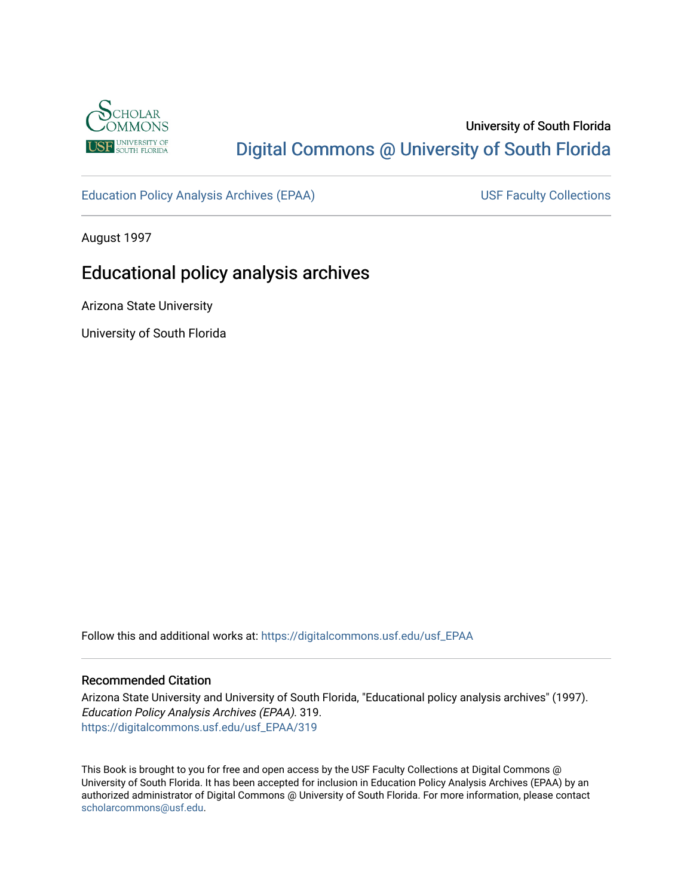

## University of South Florida [Digital Commons @ University of South Florida](https://digitalcommons.usf.edu/)

[Education Policy Analysis Archives \(EPAA\)](https://digitalcommons.usf.edu/usf_EPAA) USF Faculty Collections

August 1997

## Educational policy analysis archives

Arizona State University

University of South Florida

Follow this and additional works at: [https://digitalcommons.usf.edu/usf\\_EPAA](https://digitalcommons.usf.edu/usf_EPAA?utm_source=digitalcommons.usf.edu%2Fusf_EPAA%2F319&utm_medium=PDF&utm_campaign=PDFCoverPages)

#### Recommended Citation

Arizona State University and University of South Florida, "Educational policy analysis archives" (1997). Education Policy Analysis Archives (EPAA). 319. [https://digitalcommons.usf.edu/usf\\_EPAA/319](https://digitalcommons.usf.edu/usf_EPAA/319?utm_source=digitalcommons.usf.edu%2Fusf_EPAA%2F319&utm_medium=PDF&utm_campaign=PDFCoverPages)

This Book is brought to you for free and open access by the USF Faculty Collections at Digital Commons @ University of South Florida. It has been accepted for inclusion in Education Policy Analysis Archives (EPAA) by an authorized administrator of Digital Commons @ University of South Florida. For more information, please contact [scholarcommons@usf.edu.](mailto:scholarcommons@usf.edu)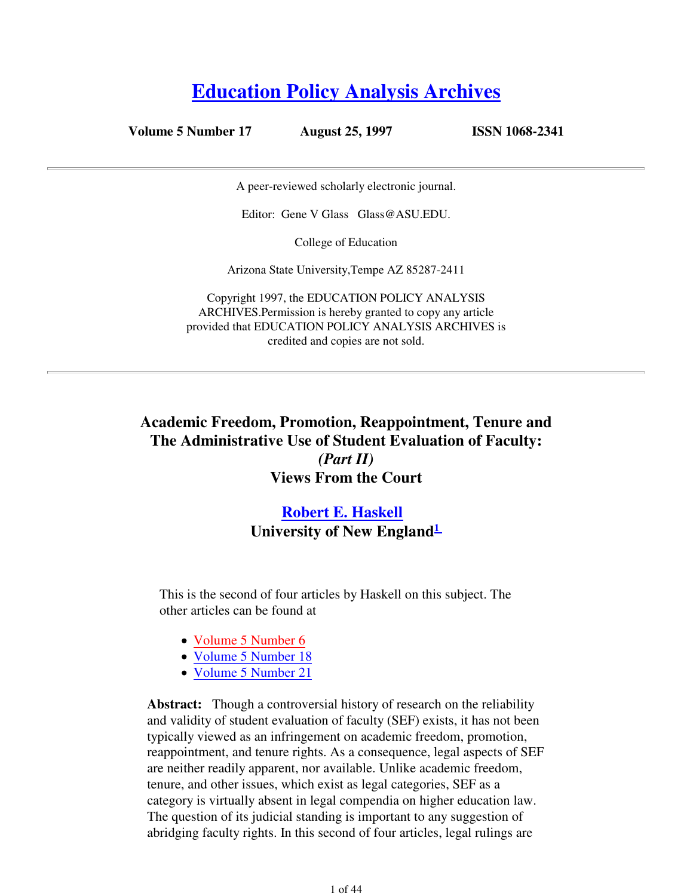# **Education Policy Analysis Archives**

**Volume 5 Number 17 August 25, 1997 ISSN 1068-2341**

A peer-reviewed scholarly electronic journal.

Editor: Gene V Glass Glass@ASU.EDU.

College of Education

Arizona State University,Tempe AZ 85287-2411

Copyright 1997, the EDUCATION POLICY ANALYSIS ARCHIVES.Permission is hereby granted to copy any article provided that EDUCATION POLICY ANALYSIS ARCHIVES is credited and copies are not sold.

## **Academic Freedom, Promotion, Reappointment, Tenure and The Administrative Use of Student Evaluation of Faculty:** *(Part II)* **Views From the Court**

## **Robert E. Haskell University of New England<sup>1</sup>**

This is the second of four articles by Haskell on this subject. The other articles can be found at

- Volume 5 Number 6
- Volume 5 Number 18
- Volume 5 Number 21

**Abstract:** Though a controversial history of research on the reliability and validity of student evaluation of faculty (SEF) exists, it has not been typically viewed as an infringement on academic freedom, promotion, reappointment, and tenure rights. As a consequence, legal aspects of SEF are neither readily apparent, nor available. Unlike academic freedom, tenure, and other issues, which exist as legal categories, SEF as a category is virtually absent in legal compendia on higher education law. The question of its judicial standing is important to any suggestion of abridging faculty rights. In this second of four articles, legal rulings are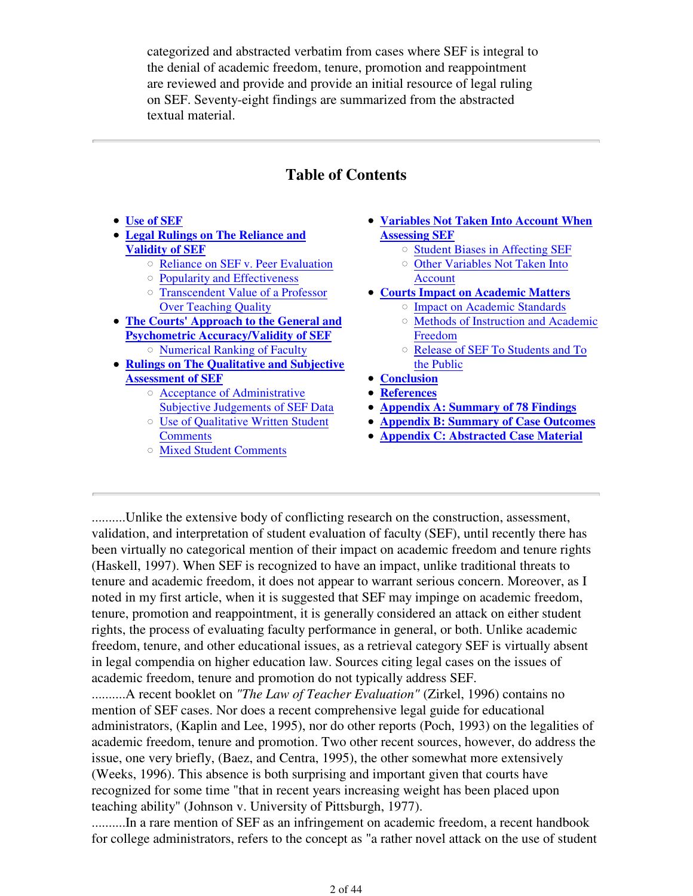categorized and abstracted verbatim from cases where SEF is integral to the denial of academic freedom, tenure, promotion and reappointment are reviewed and provide and provide an initial resource of legal ruling on SEF. Seventy-eight findings are summarized from the abstracted textual material.

## **Table of Contents**

- **Use of SEF**
- **Legal Rulings on The Reliance and Validity of SEF**
	- Reliance on SEF v. Peer Evaluation
	- Popularity and Effectiveness
	- Transcendent Value of a Professor Over Teaching Quality
- **The Courts' Approach to the General and Psychometric Accuracy/Validity of SEF**
- Numerical Ranking of Faculty **Rulings on The Qualitative and Subjective**
- **Assessment of SEF**
	- Acceptance of Administrative Subjective Judgements of SEF Data
	- Use of Qualitative Written Student **Comments**
	- Mixed Student Comments
- **Variables Not Taken Into Account When Assessing SEF**
	- o Student Biases in Affecting SEF
	- Other Variables Not Taken Into Account
- **Courts Impact on Academic Matters**
	- Impact on Academic Standards
		- Methods of Instruction and Academic Freedom
		- Release of SEF To Students and To the Public
- **Conclusion**
- **References**
- **Appendix A: Summary of 78 Findings**
- **Appendix B: Summary of Case Outcomes**
- **Appendix C: Abstracted Case Material**

..........Unlike the extensive body of conflicting research on the construction, assessment, validation, and interpretation of student evaluation of faculty (SEF), until recently there has been virtually no categorical mention of their impact on academic freedom and tenure rights (Haskell, 1997). When SEF is recognized to have an impact, unlike traditional threats to tenure and academic freedom, it does not appear to warrant serious concern. Moreover, as I noted in my first article, when it is suggested that SEF may impinge on academic freedom, tenure, promotion and reappointment, it is generally considered an attack on either student rights, the process of evaluating faculty performance in general, or both. Unlike academic freedom, tenure, and other educational issues, as a retrieval category SEF is virtually absent in legal compendia on higher education law. Sources citing legal cases on the issues of academic freedom, tenure and promotion do not typically address SEF.

..........A recent booklet on *"The Law of Teacher Evaluation"* (Zirkel, 1996) contains no mention of SEF cases. Nor does a recent comprehensive legal guide for educational administrators, (Kaplin and Lee, 1995), nor do other reports (Poch, 1993) on the legalities of academic freedom, tenure and promotion. Two other recent sources, however, do address the issue, one very briefly, (Baez, and Centra, 1995), the other somewhat more extensively (Weeks, 1996). This absence is both surprising and important given that courts have recognized for some time "that in recent years increasing weight has been placed upon teaching ability" (Johnson v. University of Pittsburgh, 1977).

..........In a rare mention of SEF as an infringement on academic freedom, a recent handbook for college administrators, refers to the concept as "a rather novel attack on the use of student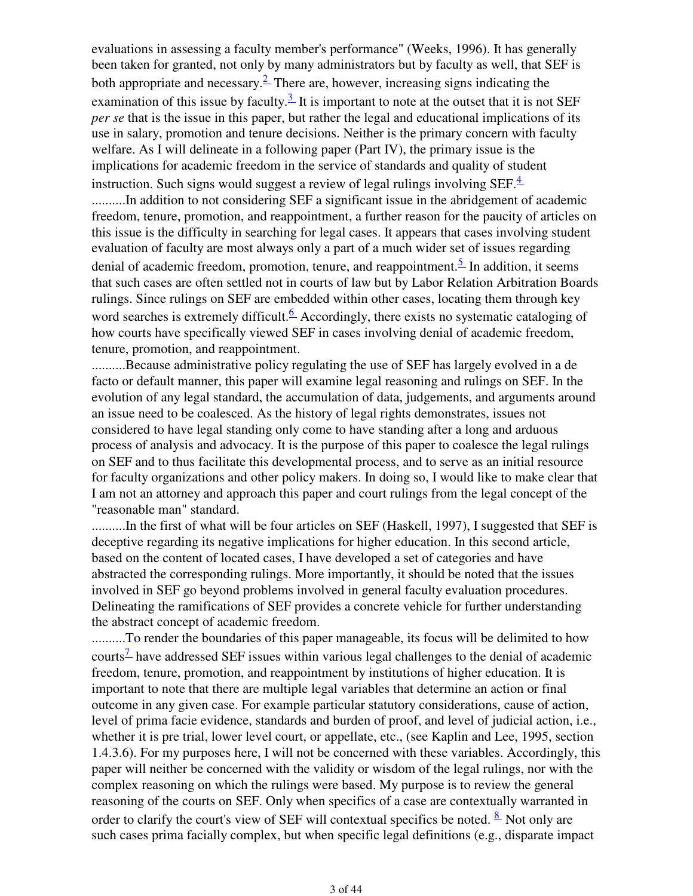evaluations in assessing a faculty member's performance" (Weeks, 1996). It has generally been taken for granted, not only by many administrators but by faculty as well, that SEF is both appropriate and necessary.  $\stackrel{?}{=}$  There are, however, increasing signs indicating the examination of this issue by faculty.<sup>3</sup> It is important to note at the outset that it is not SEF *per se* that is the issue in this paper, but rather the legal and educational implications of its use in salary, promotion and tenure decisions. Neither is the primary concern with faculty welfare. As I will delineate in a following paper (Part IV), the primary issue is the implications for academic freedom in the service of standards and quality of student instruction. Such signs would suggest a review of legal rulings involving SEF. $\frac{4}{1}$ ..........In addition to not considering SEF a significant issue in the abridgement of academic freedom, tenure, promotion, and reappointment, a further reason for the paucity of articles on this issue is the difficulty in searching for legal cases. It appears that cases involving student evaluation of faculty are most always only a part of a much wider set of issues regarding denial of academic freedom, promotion, tenure, and reappointment.<sup>5</sup> In addition, it seems that such cases are often settled not in courts of law but by Labor Relation Arbitration Boards rulings. Since rulings on SEF are embedded within other cases, locating them through key word searches is extremely difficult.<sup>6</sup> Accordingly, there exists no systematic cataloging of how courts have specifically viewed SEF in cases involving denial of academic freedom, tenure, promotion, and reappointment.

..........Because administrative policy regulating the use of SEF has largely evolved in a de facto or default manner, this paper will examine legal reasoning and rulings on SEF. In the evolution of any legal standard, the accumulation of data, judgements, and arguments around an issue need to be coalesced. As the history of legal rights demonstrates, issues not considered to have legal standing only come to have standing after a long and arduous process of analysis and advocacy. It is the purpose of this paper to coalesce the legal rulings on SEF and to thus facilitate this developmental process, and to serve as an initial resource for faculty organizations and other policy makers. In doing so, I would like to make clear that I am not an attorney and approach this paper and court rulings from the legal concept of the "reasonable man" standard.

..........In the first of what will be four articles on SEF (Haskell, 1997), I suggested that SEF is deceptive regarding its negative implications for higher education. In this second article, based on the content of located cases, I have developed a set of categories and have abstracted the corresponding rulings. More importantly, it should be noted that the issues involved in SEF go beyond problems involved in general faculty evaluation procedures. Delineating the ramifications of SEF provides a concrete vehicle for further understanding the abstract concept of academic freedom.

..........To render the boundaries of this paper manageable, its focus will be delimited to how courts<sup> $\frac{7}{2}$ </sup> have addressed SEF issues within various legal challenges to the denial of academic freedom, tenure, promotion, and reappointment by institutions of higher education. It is important to note that there are multiple legal variables that determine an action or final outcome in any given case. For example particular statutory considerations, cause of action, level of prima facie evidence, standards and burden of proof, and level of judicial action, i.e., whether it is pre trial, lower level court, or appellate, etc., (see Kaplin and Lee, 1995, section 1.4.3.6). For my purposes here, I will not be concerned with these variables. Accordingly, this paper will neither be concerned with the validity or wisdom of the legal rulings, nor with the complex reasoning on which the rulings were based. My purpose is to review the general reasoning of the courts on SEF. Only when specifics of a case are contextually warranted in order to clarify the court's view of SEF will contextual specifics be noted.  $\frac{8}{3}$  Not only are such cases prima facially complex, but when specific legal definitions (e.g., disparate impact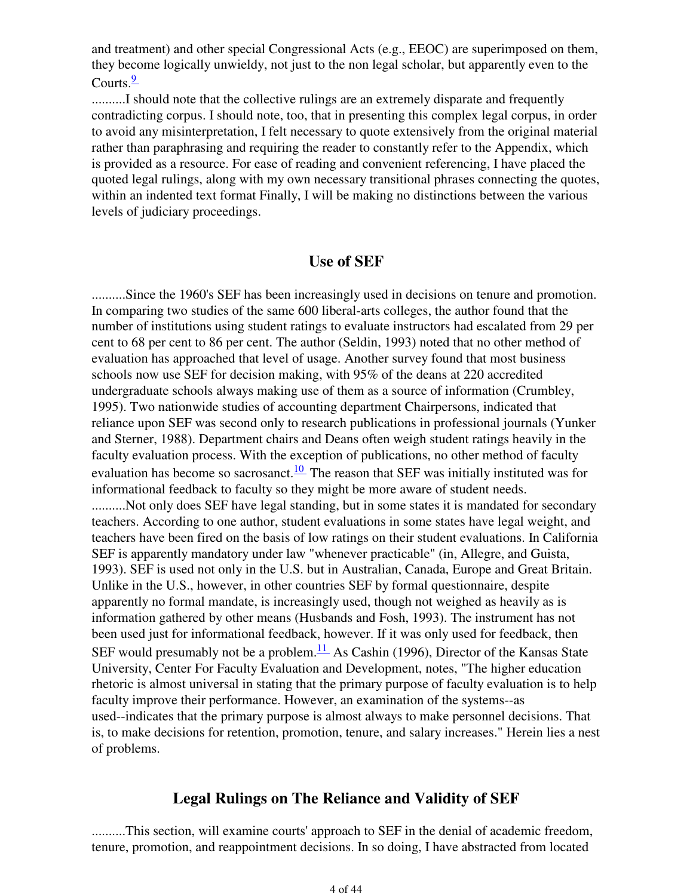and treatment) and other special Congressional Acts (e.g., EEOC) are superimposed on them, they become logically unwieldy, not just to the non legal scholar, but apparently even to the Courts. $\frac{9}{2}$ 

...........I should note that the collective rulings are an extremely disparate and frequently contradicting corpus. I should note, too, that in presenting this complex legal corpus, in order to avoid any misinterpretation, I felt necessary to quote extensively from the original material rather than paraphrasing and requiring the reader to constantly refer to the Appendix, which is provided as a resource. For ease of reading and convenient referencing, I have placed the quoted legal rulings, along with my own necessary transitional phrases connecting the quotes, within an indented text format Finally, I will be making no distinctions between the various levels of judiciary proceedings.

## **Use of SEF**

..........Since the 1960's SEF has been increasingly used in decisions on tenure and promotion. In comparing two studies of the same 600 liberal-arts colleges, the author found that the number of institutions using student ratings to evaluate instructors had escalated from 29 per cent to 68 per cent to 86 per cent. The author (Seldin, 1993) noted that no other method of evaluation has approached that level of usage. Another survey found that most business schools now use SEF for decision making, with 95% of the deans at 220 accredited undergraduate schools always making use of them as a source of information (Crumbley, 1995). Two nationwide studies of accounting department Chairpersons, indicated that reliance upon SEF was second only to research publications in professional journals (Yunker and Sterner, 1988). Department chairs and Deans often weigh student ratings heavily in the faculty evaluation process. With the exception of publications, no other method of faculty evaluation has become so sacrosanct.<sup>10</sup> The reason that SEF was initially instituted was for informational feedback to faculty so they might be more aware of student needs. ..........Not only does SEF have legal standing, but in some states it is mandated for secondary teachers. According to one author, student evaluations in some states have legal weight, and teachers have been fired on the basis of low ratings on their student evaluations. In California SEF is apparently mandatory under law "whenever practicable" (in, Allegre, and Guista, 1993). SEF is used not only in the U.S. but in Australian, Canada, Europe and Great Britain. Unlike in the U.S., however, in other countries SEF by formal questionnaire, despite apparently no formal mandate, is increasingly used, though not weighed as heavily as is information gathered by other means (Husbands and Fosh, 1993). The instrument has not been used just for informational feedback, however. If it was only used for feedback, then SEF would presumably not be a problem. $\frac{11}{11}$  As Cashin (1996), Director of the Kansas State University, Center For Faculty Evaluation and Development, notes, "The higher education rhetoric is almost universal in stating that the primary purpose of faculty evaluation is to help faculty improve their performance. However, an examination of the systems--as used--indicates that the primary purpose is almost always to make personnel decisions. That is, to make decisions for retention, promotion, tenure, and salary increases." Herein lies a nest of problems.

## **Legal Rulings on The Reliance and Validity of SEF**

..........This section, will examine courts' approach to SEF in the denial of academic freedom, tenure, promotion, and reappointment decisions. In so doing, I have abstracted from located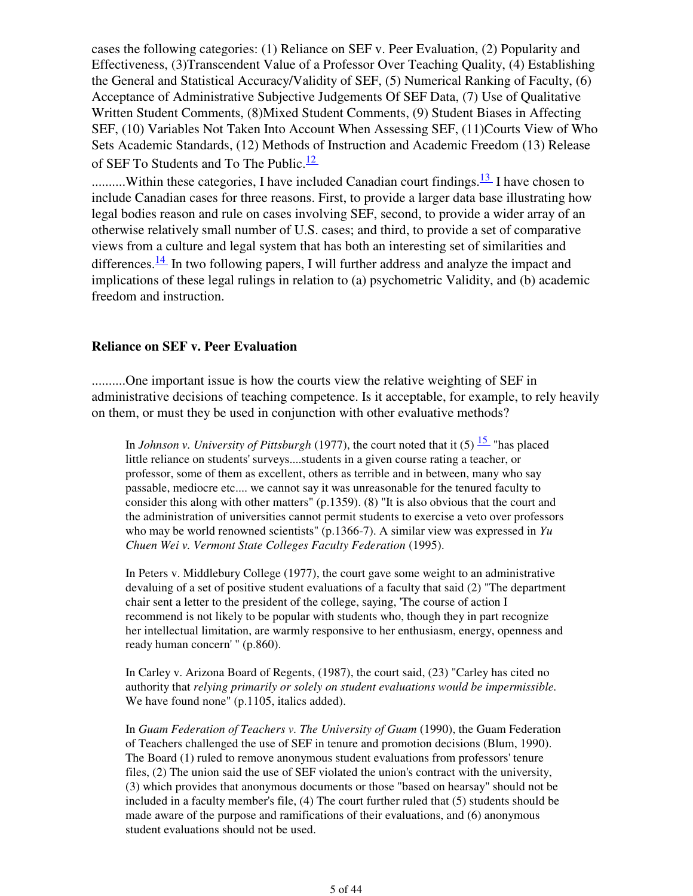cases the following categories: (1) Reliance on SEF v. Peer Evaluation, (2) Popularity and Effectiveness, (3)Transcendent Value of a Professor Over Teaching Quality, (4) Establishing the General and Statistical Accuracy/Validity of SEF, (5) Numerical Ranking of Faculty, (6) Acceptance of Administrative Subjective Judgements Of SEF Data, (7) Use of Qualitative Written Student Comments, (8)Mixed Student Comments, (9) Student Biases in Affecting SEF, (10) Variables Not Taken Into Account When Assessing SEF, (11)Courts View of Who Sets Academic Standards, (12) Methods of Instruction and Academic Freedom (13) Release of SEF To Students and To The Public.<sup>12</sup>

.........Within these categories, I have included Canadian court findings. $\frac{13}{12}$  I have chosen to include Canadian cases for three reasons. First, to provide a larger data base illustrating how legal bodies reason and rule on cases involving SEF, second, to provide a wider array of an otherwise relatively small number of U.S. cases; and third, to provide a set of comparative views from a culture and legal system that has both an interesting set of similarities and differences. $\frac{14}{11}$  In two following papers, I will further address and analyze the impact and implications of these legal rulings in relation to (a) psychometric Validity, and (b) academic freedom and instruction.

#### **Reliance on SEF v. Peer Evaluation**

..........One important issue is how the courts view the relative weighting of SEF in administrative decisions of teaching competence. Is it acceptable, for example, to rely heavily on them, or must they be used in conjunction with other evaluative methods?

In *Johnson v. University of Pittsburgh* (1977), the court noted that it (5)  $\frac{15}{15}$  "has placed little reliance on students' surveys....students in a given course rating a teacher, or professor, some of them as excellent, others as terrible and in between, many who say passable, mediocre etc.... we cannot say it was unreasonable for the tenured faculty to consider this along with other matters" (p.1359). (8) "It is also obvious that the court and the administration of universities cannot permit students to exercise a veto over professors who may be world renowned scientists" (p.1366-7). A similar view was expressed in *Yu Chuen Wei v. Vermont State Colleges Faculty Federation* (1995).

In Peters v. Middlebury College (1977), the court gave some weight to an administrative devaluing of a set of positive student evaluations of a faculty that said (2) "The department chair sent a letter to the president of the college, saying, 'The course of action I recommend is not likely to be popular with students who, though they in part recognize her intellectual limitation, are warmly responsive to her enthusiasm, energy, openness and ready human concern' " (p.860).

In Carley v. Arizona Board of Regents, (1987), the court said, (23) "Carley has cited no authority that *relying primarily or solely on student evaluations would be impermissible.* We have found none" (p.1105, italics added).

In *Guam Federation of Teachers v. The University of Guam* (1990), the Guam Federation of Teachers challenged the use of SEF in tenure and promotion decisions (Blum, 1990). The Board (1) ruled to remove anonymous student evaluations from professors' tenure files, (2) The union said the use of SEF violated the union's contract with the university, (3) which provides that anonymous documents or those "based on hearsay" should not be included in a faculty member's file, (4) The court further ruled that (5) students should be made aware of the purpose and ramifications of their evaluations, and (6) anonymous student evaluations should not be used.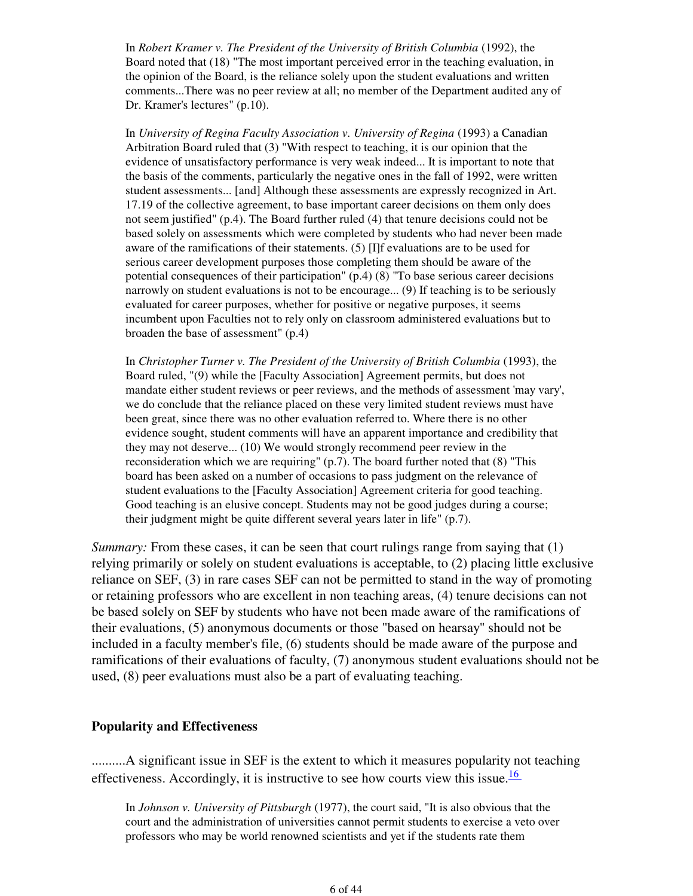In *Robert Kramer v. The President of the University of British Columbia* (1992), the Board noted that (18) "The most important perceived error in the teaching evaluation, in the opinion of the Board, is the reliance solely upon the student evaluations and written comments...There was no peer review at all; no member of the Department audited any of Dr. Kramer's lectures" (p.10).

In *University of Regina Faculty Association v. University of Regina* (1993) a Canadian Arbitration Board ruled that (3) "With respect to teaching, it is our opinion that the evidence of unsatisfactory performance is very weak indeed... It is important to note that the basis of the comments, particularly the negative ones in the fall of 1992, were written student assessments... [and] Although these assessments are expressly recognized in Art. 17.19 of the collective agreement, to base important career decisions on them only does not seem justified" (p.4). The Board further ruled (4) that tenure decisions could not be based solely on assessments which were completed by students who had never been made aware of the ramifications of their statements. (5) [I]f evaluations are to be used for serious career development purposes those completing them should be aware of the potential consequences of their participation" (p.4) (8) "To base serious career decisions narrowly on student evaluations is not to be encourage... (9) If teaching is to be seriously evaluated for career purposes, whether for positive or negative purposes, it seems incumbent upon Faculties not to rely only on classroom administered evaluations but to broaden the base of assessment" (p.4)

In *Christopher Turner v. The President of the University of British Columbia* (1993), the Board ruled, "(9) while the [Faculty Association] Agreement permits, but does not mandate either student reviews or peer reviews, and the methods of assessment 'may vary', we do conclude that the reliance placed on these very limited student reviews must have been great, since there was no other evaluation referred to. Where there is no other evidence sought, student comments will have an apparent importance and credibility that they may not deserve... (10) We would strongly recommend peer review in the reconsideration which we are requiring" (p.7). The board further noted that (8) "This board has been asked on a number of occasions to pass judgment on the relevance of student evaluations to the [Faculty Association] Agreement criteria for good teaching. Good teaching is an elusive concept. Students may not be good judges during a course; their judgment might be quite different several years later in life" (p.7).

*Summary:* From these cases, it can be seen that court rulings range from saying that (1) relying primarily or solely on student evaluations is acceptable, to (2) placing little exclusive reliance on SEF, (3) in rare cases SEF can not be permitted to stand in the way of promoting or retaining professors who are excellent in non teaching areas, (4) tenure decisions can not be based solely on SEF by students who have not been made aware of the ramifications of their evaluations, (5) anonymous documents or those "based on hearsay" should not be included in a faculty member's file, (6) students should be made aware of the purpose and ramifications of their evaluations of faculty, (7) anonymous student evaluations should not be used, (8) peer evaluations must also be a part of evaluating teaching.

#### **Popularity and Effectiveness**

..........A significant issue in SEF is the extent to which it measures popularity not teaching effectiveness. Accordingly, it is instructive to see how courts view this issue. $\frac{16}{16}$ 

In *Johnson v. University of Pittsburgh* (1977), the court said, "It is also obvious that the court and the administration of universities cannot permit students to exercise a veto over professors who may be world renowned scientists and yet if the students rate them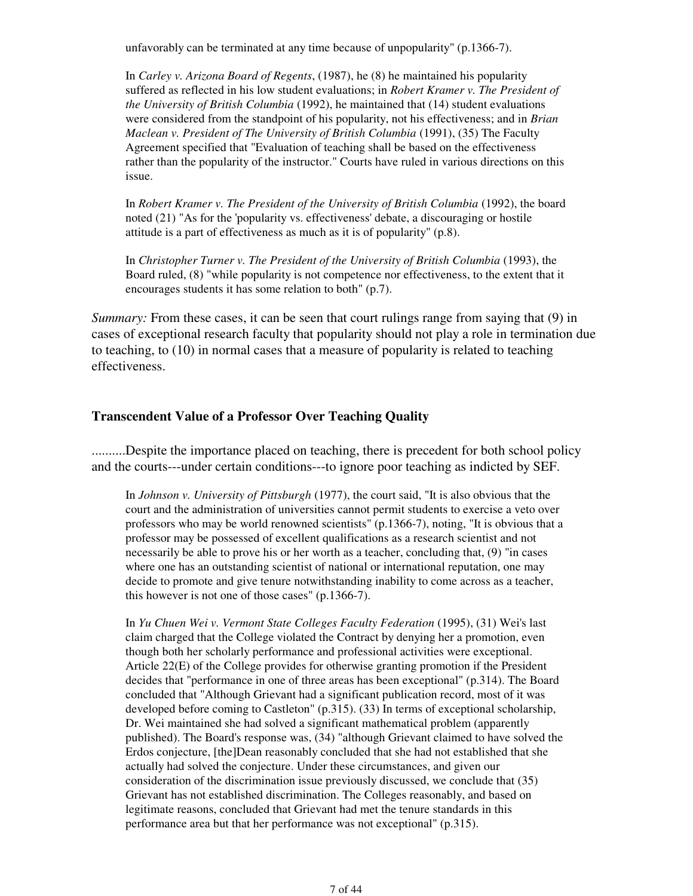unfavorably can be terminated at any time because of unpopularity" (p.1366-7).

In *Carley v. Arizona Board of Regents*, (1987), he (8) he maintained his popularity suffered as reflected in his low student evaluations; in *Robert Kramer v. The President of the University of British Columbia* (1992), he maintained that (14) student evaluations were considered from the standpoint of his popularity, not his effectiveness; and in *Brian Maclean v. President of The University of British Columbia* (1991), (35) The Faculty Agreement specified that "Evaluation of teaching shall be based on the effectiveness rather than the popularity of the instructor." Courts have ruled in various directions on this issue.

In *Robert Kramer v. The President of the University of British Columbia* (1992), the board noted (21) "As for the 'popularity vs. effectiveness' debate, a discouraging or hostile attitude is a part of effectiveness as much as it is of popularity" (p.8).

In *Christopher Turner v. The President of the University of British Columbia* (1993), the Board ruled, (8) "while popularity is not competence nor effectiveness, to the extent that it encourages students it has some relation to both" (p.7).

*Summary:* From these cases, it can be seen that court rulings range from saying that (9) in cases of exceptional research faculty that popularity should not play a role in termination due to teaching, to (10) in normal cases that a measure of popularity is related to teaching effectiveness.

#### **Transcendent Value of a Professor Over Teaching Quality**

..........Despite the importance placed on teaching, there is precedent for both school policy and the courts---under certain conditions---to ignore poor teaching as indicted by SEF.

In *Johnson v. University of Pittsburgh* (1977), the court said, "It is also obvious that the court and the administration of universities cannot permit students to exercise a veto over professors who may be world renowned scientists" (p.1366-7), noting, "It is obvious that a professor may be possessed of excellent qualifications as a research scientist and not necessarily be able to prove his or her worth as a teacher, concluding that, (9) "in cases where one has an outstanding scientist of national or international reputation, one may decide to promote and give tenure notwithstanding inability to come across as a teacher, this however is not one of those cases" (p.1366-7).

In *Yu Chuen Wei v. Vermont State Colleges Faculty Federation* (1995), (31) Wei's last claim charged that the College violated the Contract by denying her a promotion, even though both her scholarly performance and professional activities were exceptional. Article 22(E) of the College provides for otherwise granting promotion if the President decides that "performance in one of three areas has been exceptional" (p.314). The Board concluded that "Although Grievant had a significant publication record, most of it was developed before coming to Castleton" (p.315). (33) In terms of exceptional scholarship, Dr. Wei maintained she had solved a significant mathematical problem (apparently published). The Board's response was, (34) "although Grievant claimed to have solved the Erdos conjecture, [the]Dean reasonably concluded that she had not established that she actually had solved the conjecture. Under these circumstances, and given our consideration of the discrimination issue previously discussed, we conclude that (35) Grievant has not established discrimination. The Colleges reasonably, and based on legitimate reasons, concluded that Grievant had met the tenure standards in this performance area but that her performance was not exceptional" (p.315).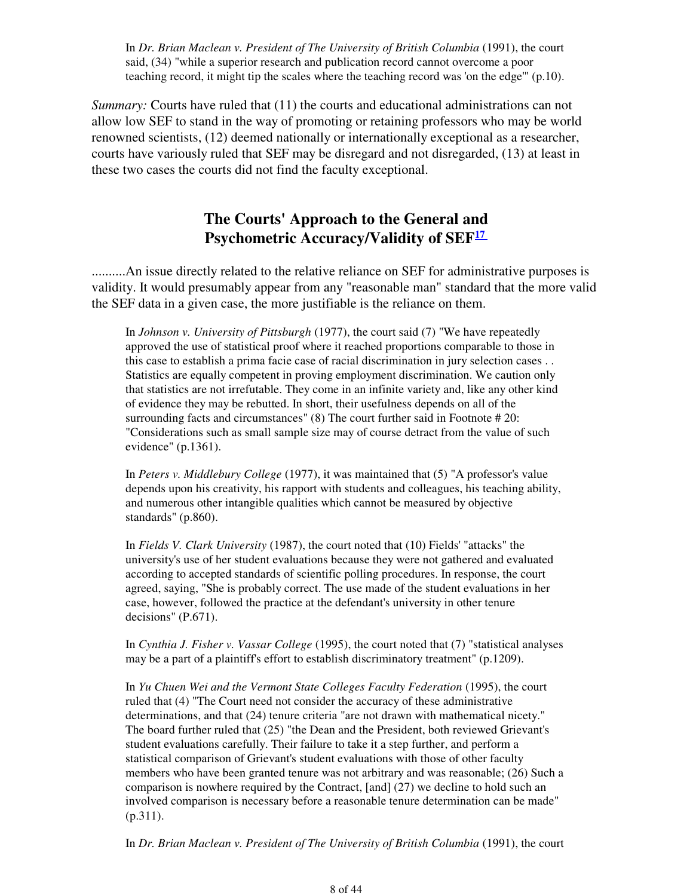In *Dr. Brian Maclean v. President of The University of British Columbia* (1991), the court said, (34) "while a superior research and publication record cannot overcome a poor teaching record, it might tip the scales where the teaching record was 'on the edge'" (p.10).

*Summary:* Courts have ruled that (11) the courts and educational administrations can not allow low SEF to stand in the way of promoting or retaining professors who may be world renowned scientists, (12) deemed nationally or internationally exceptional as a researcher, courts have variously ruled that SEF may be disregard and not disregarded, (13) at least in these two cases the courts did not find the faculty exceptional.

## **The Courts' Approach to the General and Psychometric Accuracy/Validity of SEF<sup>17</sup>**

..........An issue directly related to the relative reliance on SEF for administrative purposes is validity. It would presumably appear from any "reasonable man" standard that the more valid the SEF data in a given case, the more justifiable is the reliance on them.

In *Johnson v. University of Pittsburgh* (1977), the court said (7) "We have repeatedly approved the use of statistical proof where it reached proportions comparable to those in this case to establish a prima facie case of racial discrimination in jury selection cases . . Statistics are equally competent in proving employment discrimination. We caution only that statistics are not irrefutable. They come in an infinite variety and, like any other kind of evidence they may be rebutted. In short, their usefulness depends on all of the surrounding facts and circumstances" (8) The court further said in Footnote # 20: "Considerations such as small sample size may of course detract from the value of such evidence" (p.1361).

In *Peters v. Middlebury College* (1977), it was maintained that (5) "A professor's value depends upon his creativity, his rapport with students and colleagues, his teaching ability, and numerous other intangible qualities which cannot be measured by objective standards" (p.860).

In *Fields V. Clark University* (1987), the court noted that (10) Fields' "attacks" the university's use of her student evaluations because they were not gathered and evaluated according to accepted standards of scientific polling procedures. In response, the court agreed, saying, "She is probably correct. The use made of the student evaluations in her case, however, followed the practice at the defendant's university in other tenure decisions" (P.671).

In *Cynthia J. Fisher v. Vassar College* (1995), the court noted that (7) "statistical analyses may be a part of a plaintiff's effort to establish discriminatory treatment" (p.1209).

In *Yu Chuen Wei and the Vermont State Colleges Faculty Federation* (1995), the court ruled that (4) "The Court need not consider the accuracy of these administrative determinations, and that (24) tenure criteria "are not drawn with mathematical nicety." The board further ruled that (25) "the Dean and the President, both reviewed Grievant's student evaluations carefully. Their failure to take it a step further, and perform a statistical comparison of Grievant's student evaluations with those of other faculty members who have been granted tenure was not arbitrary and was reasonable; (26) Such a comparison is nowhere required by the Contract, [and] (27) we decline to hold such an involved comparison is necessary before a reasonable tenure determination can be made" (p.311).

In *Dr. Brian Maclean v. President of The University of British Columbia* (1991), the court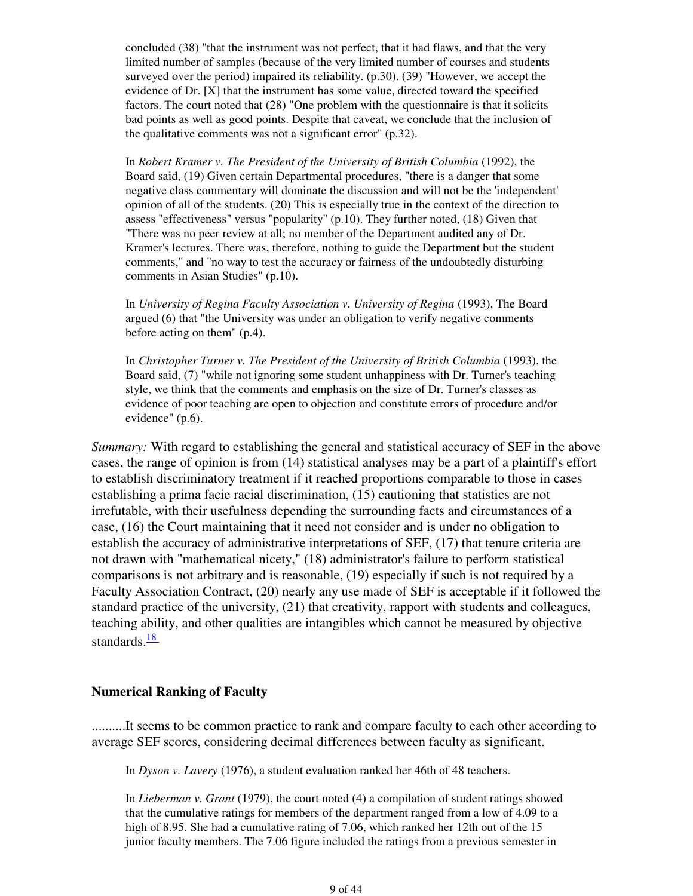concluded (38) "that the instrument was not perfect, that it had flaws, and that the very limited number of samples (because of the very limited number of courses and students surveyed over the period) impaired its reliability. (p.30). (39) "However, we accept the evidence of Dr. [X] that the instrument has some value, directed toward the specified factors. The court noted that (28) "One problem with the questionnaire is that it solicits bad points as well as good points. Despite that caveat, we conclude that the inclusion of the qualitative comments was not a significant error" (p.32).

In *Robert Kramer v. The President of the University of British Columbia* (1992), the Board said, (19) Given certain Departmental procedures, "there is a danger that some negative class commentary will dominate the discussion and will not be the 'independent' opinion of all of the students. (20) This is especially true in the context of the direction to assess "effectiveness" versus "popularity" (p.10). They further noted, (18) Given that "There was no peer review at all; no member of the Department audited any of Dr. Kramer's lectures. There was, therefore, nothing to guide the Department but the student comments," and "no way to test the accuracy or fairness of the undoubtedly disturbing comments in Asian Studies" (p.10).

In *University of Regina Faculty Association v. University of Regina* (1993), The Board argued (6) that "the University was under an obligation to verify negative comments before acting on them" (p.4).

In *Christopher Turner v. The President of the University of British Columbia* (1993), the Board said, (7) "while not ignoring some student unhappiness with Dr. Turner's teaching style, we think that the comments and emphasis on the size of Dr. Turner's classes as evidence of poor teaching are open to objection and constitute errors of procedure and/or evidence" (p.6).

*Summary:* With regard to establishing the general and statistical accuracy of SEF in the above cases, the range of opinion is from (14) statistical analyses may be a part of a plaintiff's effort to establish discriminatory treatment if it reached proportions comparable to those in cases establishing a prima facie racial discrimination, (15) cautioning that statistics are not irrefutable, with their usefulness depending the surrounding facts and circumstances of a case, (16) the Court maintaining that it need not consider and is under no obligation to establish the accuracy of administrative interpretations of SEF, (17) that tenure criteria are not drawn with "mathematical nicety," (18) administrator's failure to perform statistical comparisons is not arbitrary and is reasonable, (19) especially if such is not required by a Faculty Association Contract, (20) nearly any use made of SEF is acceptable if it followed the standard practice of the university, (21) that creativity, rapport with students and colleagues, teaching ability, and other qualities are intangibles which cannot be measured by objective standards. $\frac{18}{18}$ 

#### **Numerical Ranking of Faculty**

..........It seems to be common practice to rank and compare faculty to each other according to average SEF scores, considering decimal differences between faculty as significant.

In *Dyson v. Lavery* (1976), a student evaluation ranked her 46th of 48 teachers.

In *Lieberman v. Grant* (1979), the court noted (4) a compilation of student ratings showed that the cumulative ratings for members of the department ranged from a low of 4.09 to a high of 8.95. She had a cumulative rating of 7.06, which ranked her 12th out of the 15 junior faculty members. The 7.06 figure included the ratings from a previous semester in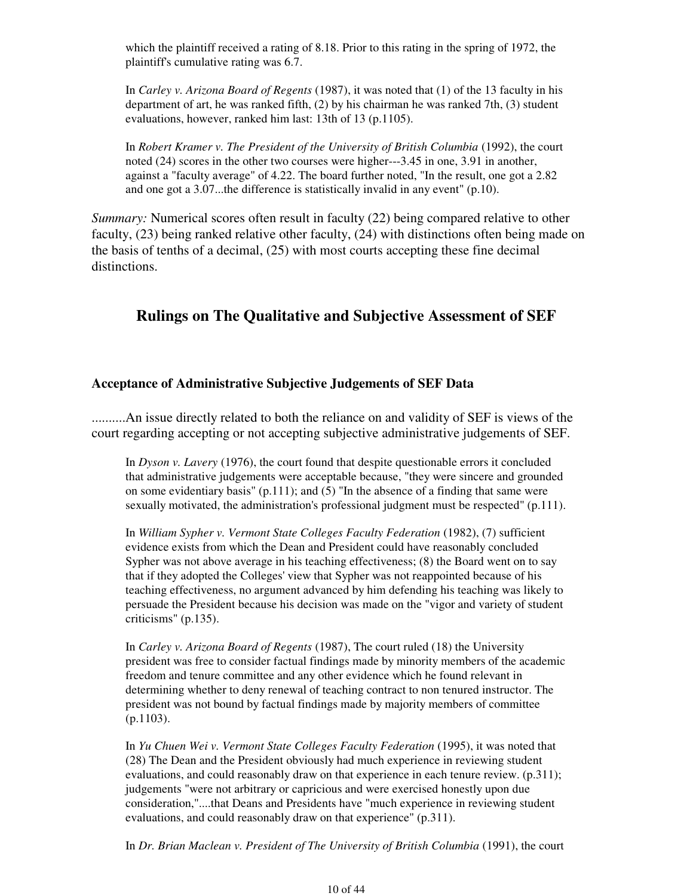which the plaintiff received a rating of 8.18. Prior to this rating in the spring of 1972, the plaintiff's cumulative rating was 6.7.

In *Carley v. Arizona Board of Regents* (1987), it was noted that (1) of the 13 faculty in his department of art, he was ranked fifth, (2) by his chairman he was ranked 7th, (3) student evaluations, however, ranked him last: 13th of 13 (p.1105).

In *Robert Kramer v. The President of the University of British Columbia* (1992), the court noted (24) scores in the other two courses were higher---3.45 in one, 3.91 in another, against a "faculty average" of 4.22. The board further noted, "In the result, one got a 2.82 and one got a 3.07...the difference is statistically invalid in any event" (p.10).

*Summary:* Numerical scores often result in faculty (22) being compared relative to other faculty, (23) being ranked relative other faculty, (24) with distinctions often being made on the basis of tenths of a decimal, (25) with most courts accepting these fine decimal distinctions.

## **Rulings on The Qualitative and Subjective Assessment of SEF**

#### **Acceptance of Administrative Subjective Judgements of SEF Data**

..........An issue directly related to both the reliance on and validity of SEF is views of the court regarding accepting or not accepting subjective administrative judgements of SEF.

In *Dyson v. Lavery* (1976), the court found that despite questionable errors it concluded that administrative judgements were acceptable because, "they were sincere and grounded on some evidentiary basis"  $(p.111)$ ; and  $(5)$  "In the absence of a finding that same were sexually motivated, the administration's professional judgment must be respected" (p.111).

In *William Sypher v. Vermont State Colleges Faculty Federation* (1982), (7) sufficient evidence exists from which the Dean and President could have reasonably concluded Sypher was not above average in his teaching effectiveness; (8) the Board went on to say that if they adopted the Colleges' view that Sypher was not reappointed because of his teaching effectiveness, no argument advanced by him defending his teaching was likely to persuade the President because his decision was made on the "vigor and variety of student criticisms" (p.135).

In *Carley v. Arizona Board of Regents* (1987), The court ruled (18) the University president was free to consider factual findings made by minority members of the academic freedom and tenure committee and any other evidence which he found relevant in determining whether to deny renewal of teaching contract to non tenured instructor. The president was not bound by factual findings made by majority members of committee (p.1103).

In *Yu Chuen Wei v. Vermont State Colleges Faculty Federation* (1995), it was noted that (28) The Dean and the President obviously had much experience in reviewing student evaluations, and could reasonably draw on that experience in each tenure review. (p.311); judgements "were not arbitrary or capricious and were exercised honestly upon due consideration,"....that Deans and Presidents have "much experience in reviewing student evaluations, and could reasonably draw on that experience" (p.311).

In *Dr. Brian Maclean v. President of The University of British Columbia* (1991), the court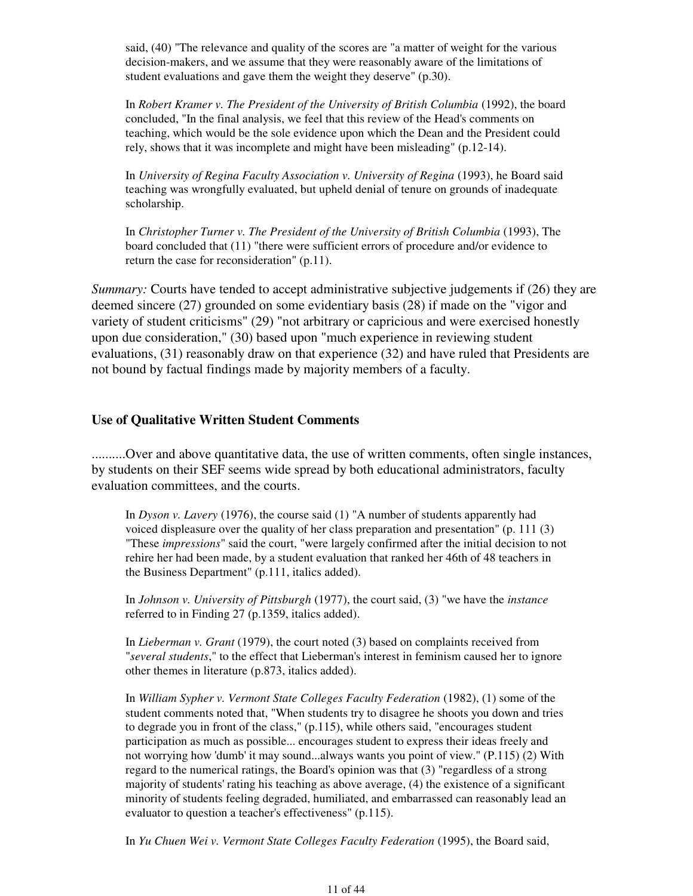said, (40) "The relevance and quality of the scores are "a matter of weight for the various decision-makers, and we assume that they were reasonably aware of the limitations of student evaluations and gave them the weight they deserve" (p.30).

In *Robert Kramer v. The President of the University of British Columbia* (1992), the board concluded, "In the final analysis, we feel that this review of the Head's comments on teaching, which would be the sole evidence upon which the Dean and the President could rely, shows that it was incomplete and might have been misleading" (p.12-14).

In *University of Regina Faculty Association v. University of Regina* (1993), he Board said teaching was wrongfully evaluated, but upheld denial of tenure on grounds of inadequate scholarship.

In *Christopher Turner v. The President of the University of British Columbia* (1993), The board concluded that (11) "there were sufficient errors of procedure and/or evidence to return the case for reconsideration" (p.11).

*Summary:* Courts have tended to accept administrative subjective judgements if (26) they are deemed sincere (27) grounded on some evidentiary basis (28) if made on the "vigor and variety of student criticisms" (29) "not arbitrary or capricious and were exercised honestly upon due consideration," (30) based upon "much experience in reviewing student evaluations, (31) reasonably draw on that experience (32) and have ruled that Presidents are not bound by factual findings made by majority members of a faculty.

#### **Use of Qualitative Written Student Comments**

..........Over and above quantitative data, the use of written comments, often single instances, by students on their SEF seems wide spread by both educational administrators, faculty evaluation committees, and the courts.

In *Dyson v. Lavery* (1976), the course said (1) "A number of students apparently had voiced displeasure over the quality of her class preparation and presentation" (p. 111 (3) "These *impressions*" said the court, "were largely confirmed after the initial decision to not rehire her had been made, by a student evaluation that ranked her 46th of 48 teachers in the Business Department" (p.111, italics added).

In *Johnson v. University of Pittsburgh* (1977), the court said, (3) "we have the *instance* referred to in Finding 27 (p.1359, italics added).

In *Lieberman v. Grant* (1979), the court noted (3) based on complaints received from "*several students*," to the effect that Lieberman's interest in feminism caused her to ignore other themes in literature (p.873, italics added).

In *William Sypher v. Vermont State Colleges Faculty Federation* (1982), (1) some of the student comments noted that, "When students try to disagree he shoots you down and tries to degrade you in front of the class," (p.115), while others said, "encourages student participation as much as possible... encourages student to express their ideas freely and not worrying how 'dumb' it may sound...always wants you point of view." (P.115) (2) With regard to the numerical ratings, the Board's opinion was that (3) "regardless of a strong majority of students' rating his teaching as above average, (4) the existence of a significant minority of students feeling degraded, humiliated, and embarrassed can reasonably lead an evaluator to question a teacher's effectiveness" (p.115).

In *Yu Chuen Wei v. Vermont State Colleges Faculty Federation* (1995), the Board said,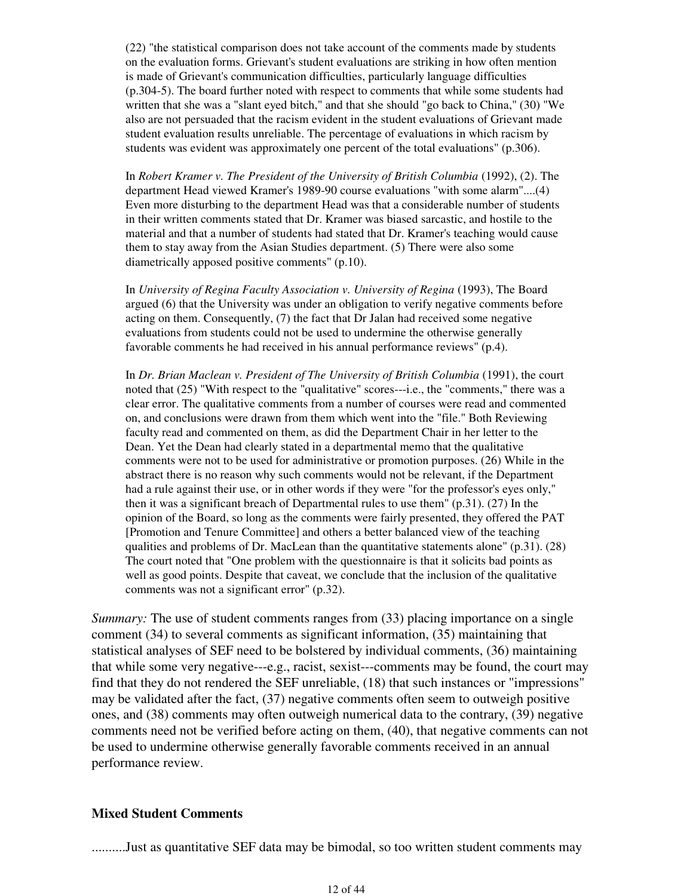(22) "the statistical comparison does not take account of the comments made by students on the evaluation forms. Grievant's student evaluations are striking in how often mention is made of Grievant's communication difficulties, particularly language difficulties (p.304-5). The board further noted with respect to comments that while some students had written that she was a "slant eyed bitch," and that she should "go back to China," (30) "We also are not persuaded that the racism evident in the student evaluations of Grievant made student evaluation results unreliable. The percentage of evaluations in which racism by students was evident was approximately one percent of the total evaluations" (p.306).

In *Robert Kramer v. The President of the University of British Columbia* (1992), (2). The department Head viewed Kramer's 1989-90 course evaluations "with some alarm"....(4) Even more disturbing to the department Head was that a considerable number of students in their written comments stated that Dr. Kramer was biased sarcastic, and hostile to the material and that a number of students had stated that Dr. Kramer's teaching would cause them to stay away from the Asian Studies department. (5) There were also some diametrically apposed positive comments" (p.10).

In *University of Regina Faculty Association v. University of Regina* (1993), The Board argued (6) that the University was under an obligation to verify negative comments before acting on them. Consequently, (7) the fact that Dr Jalan had received some negative evaluations from students could not be used to undermine the otherwise generally favorable comments he had received in his annual performance reviews" (p.4).

In *Dr. Brian Maclean v. President of The University of British Columbia* (1991), the court noted that (25) "With respect to the "qualitative" scores---i.e., the "comments," there was a clear error. The qualitative comments from a number of courses were read and commented on, and conclusions were drawn from them which went into the "file." Both Reviewing faculty read and commented on them, as did the Department Chair in her letter to the Dean. Yet the Dean had clearly stated in a departmental memo that the qualitative comments were not to be used for administrative or promotion purposes. (26) While in the abstract there is no reason why such comments would not be relevant, if the Department had a rule against their use, or in other words if they were "for the professor's eyes only," then it was a significant breach of Departmental rules to use them" (p.31). (27) In the opinion of the Board, so long as the comments were fairly presented, they offered the PAT [Promotion and Tenure Committee] and others a better balanced view of the teaching qualities and problems of Dr. MacLean than the quantitative statements alone" (p.31). (28) The court noted that "One problem with the questionnaire is that it solicits bad points as well as good points. Despite that caveat, we conclude that the inclusion of the qualitative comments was not a significant error" (p.32).

*Summary:* The use of student comments ranges from (33) placing importance on a single comment (34) to several comments as significant information, (35) maintaining that statistical analyses of SEF need to be bolstered by individual comments, (36) maintaining that while some very negative---e.g., racist, sexist---comments may be found, the court may find that they do not rendered the SEF unreliable, (18) that such instances or "impressions" may be validated after the fact, (37) negative comments often seem to outweigh positive ones, and (38) comments may often outweigh numerical data to the contrary, (39) negative comments need not be verified before acting on them, (40), that negative comments can not be used to undermine otherwise generally favorable comments received in an annual performance review.

#### **Mixed Student Comments**

..........Just as quantitative SEF data may be bimodal, so too written student comments may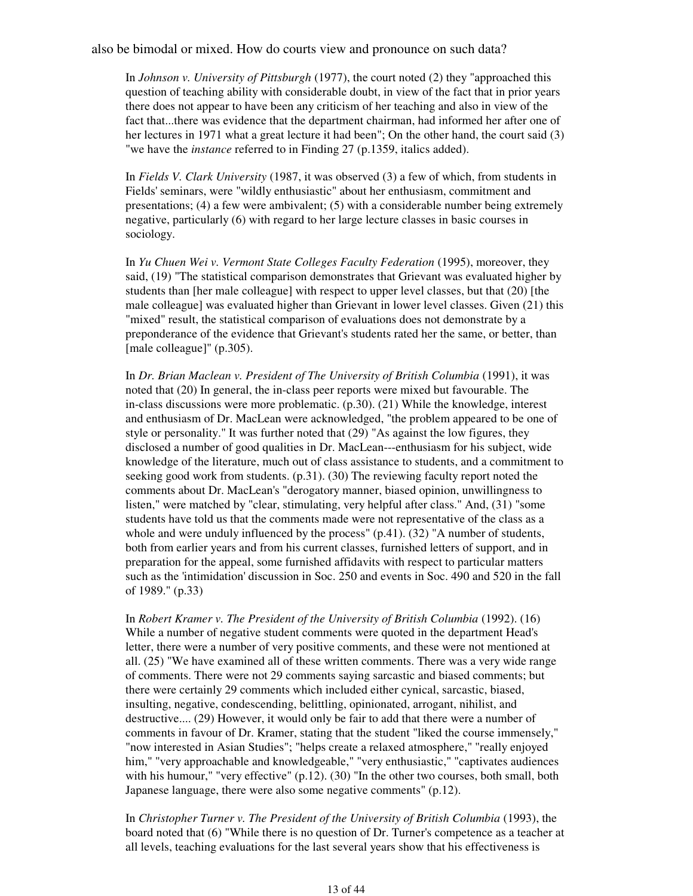also be bimodal or mixed. How do courts view and pronounce on such data?

In *Johnson v. University of Pittsburgh* (1977), the court noted (2) they "approached this question of teaching ability with considerable doubt, in view of the fact that in prior years there does not appear to have been any criticism of her teaching and also in view of the fact that...there was evidence that the department chairman, had informed her after one of her lectures in 1971 what a great lecture it had been"; On the other hand, the court said (3) "we have the *instance* referred to in Finding 27 (p.1359, italics added).

In *Fields V. Clark University* (1987, it was observed (3) a few of which, from students in Fields' seminars, were "wildly enthusiastic" about her enthusiasm, commitment and presentations; (4) a few were ambivalent; (5) with a considerable number being extremely negative, particularly (6) with regard to her large lecture classes in basic courses in sociology.

In *Yu Chuen Wei v. Vermont State Colleges Faculty Federation* (1995), moreover, they said, (19) "The statistical comparison demonstrates that Grievant was evaluated higher by students than [her male colleague] with respect to upper level classes, but that (20) [the male colleague] was evaluated higher than Grievant in lower level classes. Given (21) this "mixed" result, the statistical comparison of evaluations does not demonstrate by a preponderance of the evidence that Grievant's students rated her the same, or better, than [male colleague]" (p.305).

In *Dr. Brian Maclean v. President of The University of British Columbia* (1991), it was noted that (20) In general, the in-class peer reports were mixed but favourable. The in-class discussions were more problematic. (p.30). (21) While the knowledge, interest and enthusiasm of Dr. MacLean were acknowledged, "the problem appeared to be one of style or personality." It was further noted that (29) "As against the low figures, they disclosed a number of good qualities in Dr. MacLean---enthusiasm for his subject, wide knowledge of the literature, much out of class assistance to students, and a commitment to seeking good work from students. (p.31). (30) The reviewing faculty report noted the comments about Dr. MacLean's "derogatory manner, biased opinion, unwillingness to listen," were matched by "clear, stimulating, very helpful after class." And, (31) "some students have told us that the comments made were not representative of the class as a whole and were unduly influenced by the process" (p.41). (32) "A number of students, both from earlier years and from his current classes, furnished letters of support, and in preparation for the appeal, some furnished affidavits with respect to particular matters such as the 'intimidation' discussion in Soc. 250 and events in Soc. 490 and 520 in the fall of 1989." (p.33)

In *Robert Kramer v. The President of the University of British Columbia* (1992). (16) While a number of negative student comments were quoted in the department Head's letter, there were a number of very positive comments, and these were not mentioned at all. (25) "We have examined all of these written comments. There was a very wide range of comments. There were not 29 comments saying sarcastic and biased comments; but there were certainly 29 comments which included either cynical, sarcastic, biased, insulting, negative, condescending, belittling, opinionated, arrogant, nihilist, and destructive.... (29) However, it would only be fair to add that there were a number of comments in favour of Dr. Kramer, stating that the student "liked the course immensely," "now interested in Asian Studies"; "helps create a relaxed atmosphere," "really enjoyed him," "very approachable and knowledgeable," "very enthusiastic," "captivates audiences with his humour," "very effective" (p.12). (30) "In the other two courses, both small, both Japanese language, there were also some negative comments" (p.12).

In *Christopher Turner v. The President of the University of British Columbia* (1993), the board noted that (6) "While there is no question of Dr. Turner's competence as a teacher at all levels, teaching evaluations for the last several years show that his effectiveness is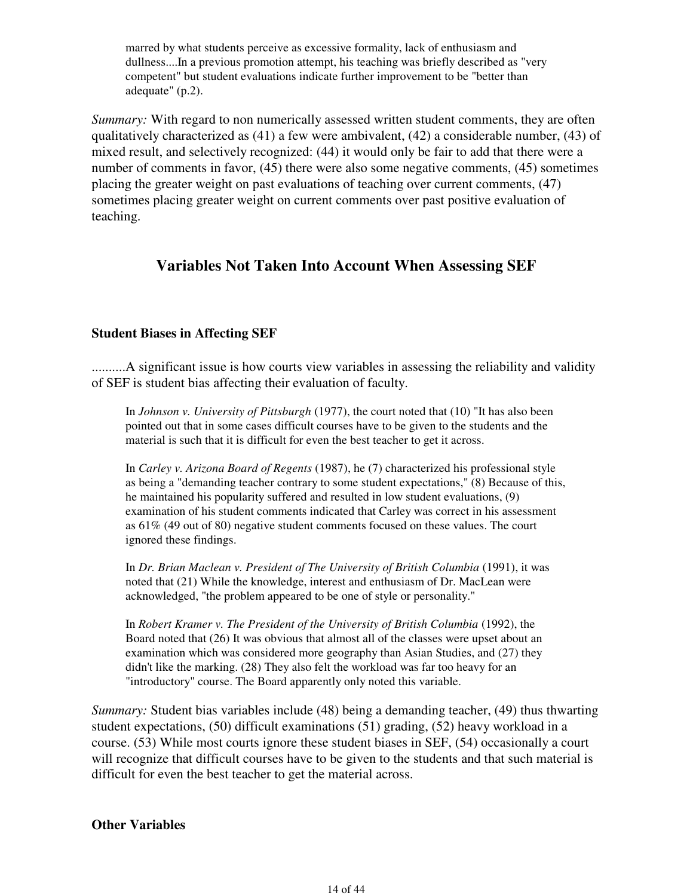marred by what students perceive as excessive formality, lack of enthusiasm and dullness....In a previous promotion attempt, his teaching was briefly described as "very competent" but student evaluations indicate further improvement to be "better than adequate" (p.2).

*Summary:* With regard to non numerically assessed written student comments, they are often qualitatively characterized as (41) a few were ambivalent, (42) a considerable number, (43) of mixed result, and selectively recognized: (44) it would only be fair to add that there were a number of comments in favor, (45) there were also some negative comments, (45) sometimes placing the greater weight on past evaluations of teaching over current comments, (47) sometimes placing greater weight on current comments over past positive evaluation of teaching.

## **Variables Not Taken Into Account When Assessing SEF**

### **Student Biases in Affecting SEF**

..........A significant issue is how courts view variables in assessing the reliability and validity of SEF is student bias affecting their evaluation of faculty.

In *Johnson v. University of Pittsburgh* (1977), the court noted that (10) "It has also been pointed out that in some cases difficult courses have to be given to the students and the material is such that it is difficult for even the best teacher to get it across.

In *Carley v. Arizona Board of Regents* (1987), he (7) characterized his professional style as being a "demanding teacher contrary to some student expectations," (8) Because of this, he maintained his popularity suffered and resulted in low student evaluations, (9) examination of his student comments indicated that Carley was correct in his assessment as 61% (49 out of 80) negative student comments focused on these values. The court ignored these findings.

In *Dr. Brian Maclean v. President of The University of British Columbia* (1991), it was noted that (21) While the knowledge, interest and enthusiasm of Dr. MacLean were acknowledged, "the problem appeared to be one of style or personality."

In *Robert Kramer v. The President of the University of British Columbia* (1992), the Board noted that (26) It was obvious that almost all of the classes were upset about an examination which was considered more geography than Asian Studies, and (27) they didn't like the marking. (28) They also felt the workload was far too heavy for an "introductory" course. The Board apparently only noted this variable.

*Summary:* Student bias variables include (48) being a demanding teacher, (49) thus thwarting student expectations, (50) difficult examinations (51) grading, (52) heavy workload in a course. (53) While most courts ignore these student biases in SEF, (54) occasionally a court will recognize that difficult courses have to be given to the students and that such material is difficult for even the best teacher to get the material across.

#### **Other Variables**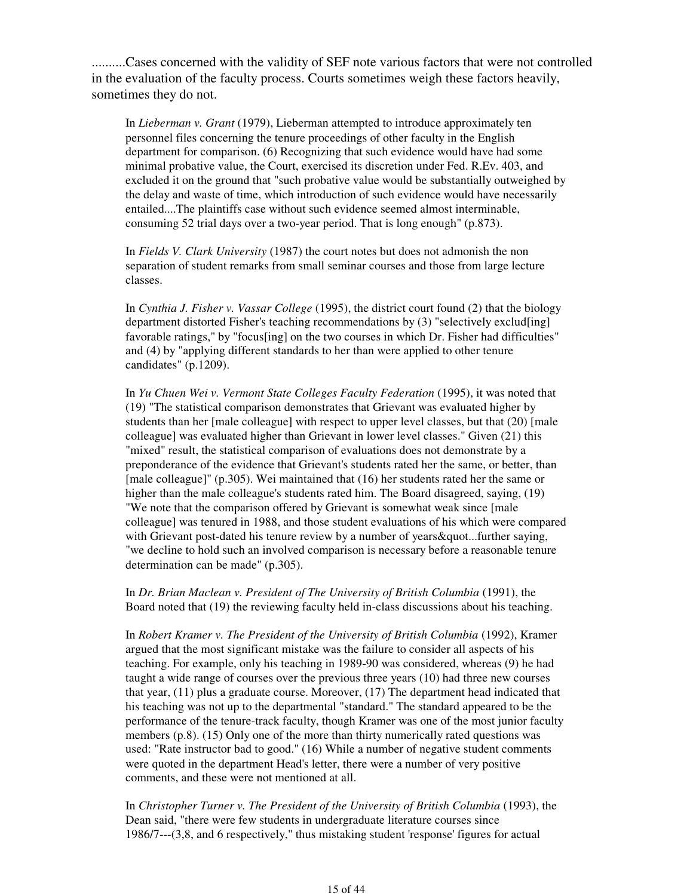..........Cases concerned with the validity of SEF note various factors that were not controlled in the evaluation of the faculty process. Courts sometimes weigh these factors heavily, sometimes they do not.

In *Lieberman v. Grant* (1979), Lieberman attempted to introduce approximately ten personnel files concerning the tenure proceedings of other faculty in the English department for comparison. (6) Recognizing that such evidence would have had some minimal probative value, the Court, exercised its discretion under Fed. R.Ev. 403, and excluded it on the ground that "such probative value would be substantially outweighed by the delay and waste of time, which introduction of such evidence would have necessarily entailed....The plaintiffs case without such evidence seemed almost interminable, consuming 52 trial days over a two-year period. That is long enough" (p.873).

In *Fields V. Clark University* (1987) the court notes but does not admonish the non separation of student remarks from small seminar courses and those from large lecture classes.

In *Cynthia J. Fisher v. Vassar College* (1995), the district court found (2) that the biology department distorted Fisher's teaching recommendations by (3) "selectively exclud[ing] favorable ratings," by "focus[ing] on the two courses in which Dr. Fisher had difficulties" and (4) by "applying different standards to her than were applied to other tenure candidates" (p.1209).

In *Yu Chuen Wei v. Vermont State Colleges Faculty Federation* (1995), it was noted that (19) "The statistical comparison demonstrates that Grievant was evaluated higher by students than her [male colleague] with respect to upper level classes, but that (20) [male colleague] was evaluated higher than Grievant in lower level classes." Given (21) this "mixed" result, the statistical comparison of evaluations does not demonstrate by a preponderance of the evidence that Grievant's students rated her the same, or better, than [male colleague]" (p.305). Wei maintained that (16) her students rated her the same or higher than the male colleague's students rated him. The Board disagreed, saying, (19) "We note that the comparison offered by Grievant is somewhat weak since [male colleague] was tenured in 1988, and those student evaluations of his which were compared with Grievant post-dated his tenure review by a number of years & quot...further saying, "we decline to hold such an involved comparison is necessary before a reasonable tenure determination can be made" (p.305).

In *Dr. Brian Maclean v. President of The University of British Columbia* (1991), the Board noted that (19) the reviewing faculty held in-class discussions about his teaching.

In *Robert Kramer v. The President of the University of British Columbia* (1992), Kramer argued that the most significant mistake was the failure to consider all aspects of his teaching. For example, only his teaching in 1989-90 was considered, whereas (9) he had taught a wide range of courses over the previous three years (10) had three new courses that year, (11) plus a graduate course. Moreover, (17) The department head indicated that his teaching was not up to the departmental "standard." The standard appeared to be the performance of the tenure-track faculty, though Kramer was one of the most junior faculty members (p.8). (15) Only one of the more than thirty numerically rated questions was used: "Rate instructor bad to good." (16) While a number of negative student comments were quoted in the department Head's letter, there were a number of very positive comments, and these were not mentioned at all.

In *Christopher Turner v. The President of the University of British Columbia* (1993), the Dean said, "there were few students in undergraduate literature courses since 1986/7---(3,8, and 6 respectively," thus mistaking student 'response' figures for actual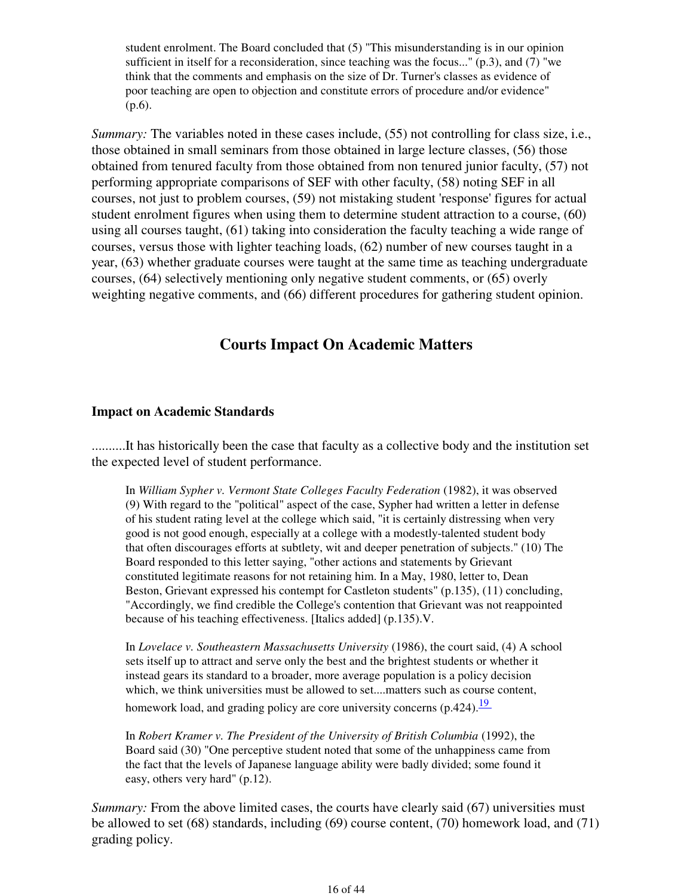student enrolment. The Board concluded that (5) "This misunderstanding is in our opinion sufficient in itself for a reconsideration, since teaching was the focus..."  $(p.3)$ , and  $(7)$  "we think that the comments and emphasis on the size of Dr. Turner's classes as evidence of poor teaching are open to objection and constitute errors of procedure and/or evidence" (p.6).

*Summary:* The variables noted in these cases include, (55) not controlling for class size, i.e., those obtained in small seminars from those obtained in large lecture classes, (56) those obtained from tenured faculty from those obtained from non tenured junior faculty, (57) not performing appropriate comparisons of SEF with other faculty, (58) noting SEF in all courses, not just to problem courses, (59) not mistaking student 'response' figures for actual student enrolment figures when using them to determine student attraction to a course, (60) using all courses taught, (61) taking into consideration the faculty teaching a wide range of courses, versus those with lighter teaching loads, (62) number of new courses taught in a year, (63) whether graduate courses were taught at the same time as teaching undergraduate courses, (64) selectively mentioning only negative student comments, or (65) overly weighting negative comments, and (66) different procedures for gathering student opinion.

## **Courts Impact On Academic Matters**

#### **Impact on Academic Standards**

..........It has historically been the case that faculty as a collective body and the institution set the expected level of student performance.

In *William Sypher v. Vermont State Colleges Faculty Federation* (1982), it was observed (9) With regard to the "political" aspect of the case, Sypher had written a letter in defense of his student rating level at the college which said, "it is certainly distressing when very good is not good enough, especially at a college with a modestly-talented student body that often discourages efforts at subtlety, wit and deeper penetration of subjects." (10) The Board responded to this letter saying, "other actions and statements by Grievant constituted legitimate reasons for not retaining him. In a May, 1980, letter to, Dean Beston, Grievant expressed his contempt for Castleton students" (p.135), (11) concluding, "Accordingly, we find credible the College's contention that Grievant was not reappointed because of his teaching effectiveness. [Italics added] (p.135).V.

In *Lovelace v. Southeastern Massachusetts University* (1986), the court said, (4) A school sets itself up to attract and serve only the best and the brightest students or whether it instead gears its standard to a broader, more average population is a policy decision which, we think universities must be allowed to set....matters such as course content, homework load, and grading policy are core university concerns  $(p.424)$ .<sup>19</sup>

In *Robert Kramer v. The President of the University of British Columbia* (1992), the Board said (30) "One perceptive student noted that some of the unhappiness came from the fact that the levels of Japanese language ability were badly divided; some found it easy, others very hard" (p.12).

*Summary:* From the above limited cases, the courts have clearly said (67) universities must be allowed to set (68) standards, including (69) course content, (70) homework load, and (71) grading policy.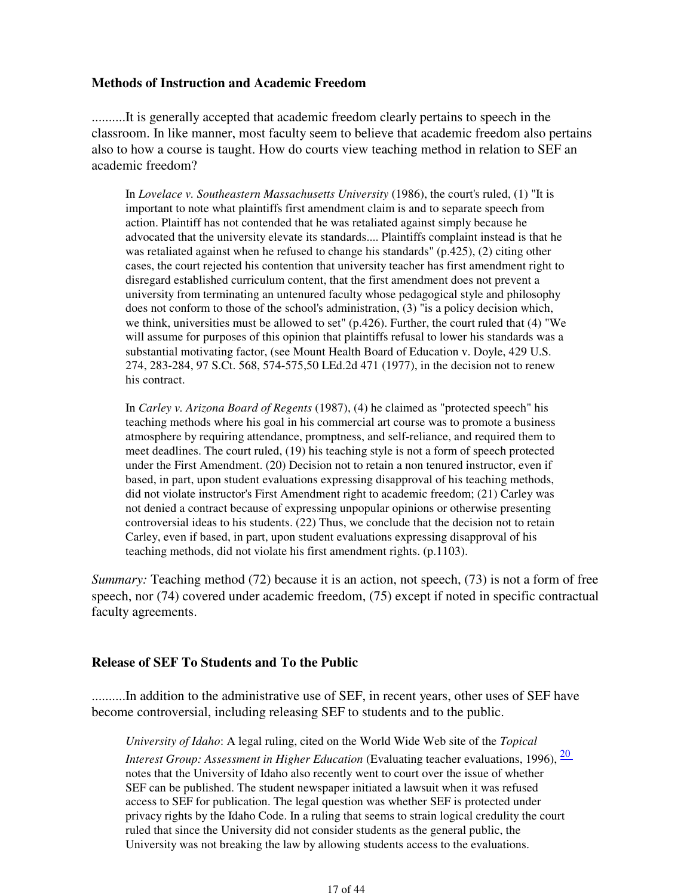#### **Methods of Instruction and Academic Freedom**

..........It is generally accepted that academic freedom clearly pertains to speech in the classroom. In like manner, most faculty seem to believe that academic freedom also pertains also to how a course is taught. How do courts view teaching method in relation to SEF an academic freedom?

In *Lovelace v. Southeastern Massachusetts University* (1986), the court's ruled, (1) "It is important to note what plaintiffs first amendment claim is and to separate speech from action. Plaintiff has not contended that he was retaliated against simply because he advocated that the university elevate its standards.... Plaintiffs complaint instead is that he was retaliated against when he refused to change his standards" (p.425), (2) citing other cases, the court rejected his contention that university teacher has first amendment right to disregard established curriculum content, that the first amendment does not prevent a university from terminating an untenured faculty whose pedagogical style and philosophy does not conform to those of the school's administration, (3) "is a policy decision which, we think, universities must be allowed to set" (p.426). Further, the court ruled that (4) "We will assume for purposes of this opinion that plaintiffs refusal to lower his standards was a substantial motivating factor, (see Mount Health Board of Education v. Doyle, 429 U.S. 274, 283-284, 97 S.Ct. 568, 574-575,50 LEd.2d 471 (1977), in the decision not to renew his contract.

In *Carley v. Arizona Board of Regents* (1987), (4) he claimed as "protected speech" his teaching methods where his goal in his commercial art course was to promote a business atmosphere by requiring attendance, promptness, and self-reliance, and required them to meet deadlines. The court ruled, (19) his teaching style is not a form of speech protected under the First Amendment. (20) Decision not to retain a non tenured instructor, even if based, in part, upon student evaluations expressing disapproval of his teaching methods, did not violate instructor's First Amendment right to academic freedom; (21) Carley was not denied a contract because of expressing unpopular opinions or otherwise presenting controversial ideas to his students. (22) Thus, we conclude that the decision not to retain Carley, even if based, in part, upon student evaluations expressing disapproval of his teaching methods, did not violate his first amendment rights. (p.1103).

*Summary:* Teaching method (72) because it is an action, not speech, (73) is not a form of free speech, nor (74) covered under academic freedom, (75) except if noted in specific contractual faculty agreements.

#### **Release of SEF To Students and To the Public**

..........In addition to the administrative use of SEF, in recent years, other uses of SEF have become controversial, including releasing SEF to students and to the public.

*University of Idaho*: A legal ruling, cited on the World Wide Web site of the *Topical Interest Group: Assessment in Higher Education* (Evaluating teacher evaluations, 1996),  $\frac{20}{ }$ notes that the University of Idaho also recently went to court over the issue of whether SEF can be published. The student newspaper initiated a lawsuit when it was refused access to SEF for publication. The legal question was whether SEF is protected under privacy rights by the Idaho Code. In a ruling that seems to strain logical credulity the court ruled that since the University did not consider students as the general public, the University was not breaking the law by allowing students access to the evaluations.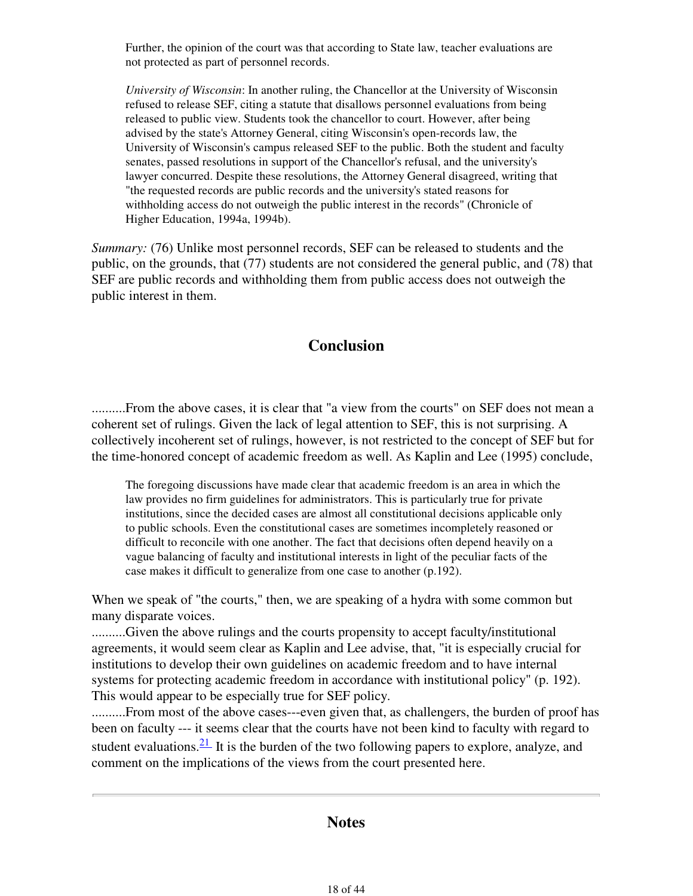Further, the opinion of the court was that according to State law, teacher evaluations are not protected as part of personnel records.

*University of Wisconsin*: In another ruling, the Chancellor at the University of Wisconsin refused to release SEF, citing a statute that disallows personnel evaluations from being released to public view. Students took the chancellor to court. However, after being advised by the state's Attorney General, citing Wisconsin's open-records law, the University of Wisconsin's campus released SEF to the public. Both the student and faculty senates, passed resolutions in support of the Chancellor's refusal, and the university's lawyer concurred. Despite these resolutions, the Attorney General disagreed, writing that "the requested records are public records and the university's stated reasons for withholding access do not outweigh the public interest in the records" (Chronicle of Higher Education, 1994a, 1994b).

*Summary:* (76) Unlike most personnel records, SEF can be released to students and the public, on the grounds, that (77) students are not considered the general public, and (78) that SEF are public records and withholding them from public access does not outweigh the public interest in them.

## **Conclusion**

..........From the above cases, it is clear that "a view from the courts" on SEF does not mean a coherent set of rulings. Given the lack of legal attention to SEF, this is not surprising. A collectively incoherent set of rulings, however, is not restricted to the concept of SEF but for the time-honored concept of academic freedom as well. As Kaplin and Lee (1995) conclude,

The foregoing discussions have made clear that academic freedom is an area in which the law provides no firm guidelines for administrators. This is particularly true for private institutions, since the decided cases are almost all constitutional decisions applicable only to public schools. Even the constitutional cases are sometimes incompletely reasoned or difficult to reconcile with one another. The fact that decisions often depend heavily on a vague balancing of faculty and institutional interests in light of the peculiar facts of the case makes it difficult to generalize from one case to another (p.192).

When we speak of "the courts," then, we are speaking of a hydra with some common but many disparate voices.

..........Given the above rulings and the courts propensity to accept faculty/institutional agreements, it would seem clear as Kaplin and Lee advise, that, "it is especially crucial for institutions to develop their own guidelines on academic freedom and to have internal systems for protecting academic freedom in accordance with institutional policy" (p. 192). This would appear to be especially true for SEF policy.

..........From most of the above cases---even given that, as challengers, the burden of proof has been on faculty --- it seems clear that the courts have not been kind to faculty with regard to student evaluations. $\frac{21}{1}$  It is the burden of the two following papers to explore, analyze, and comment on the implications of the views from the court presented here.

## **Notes**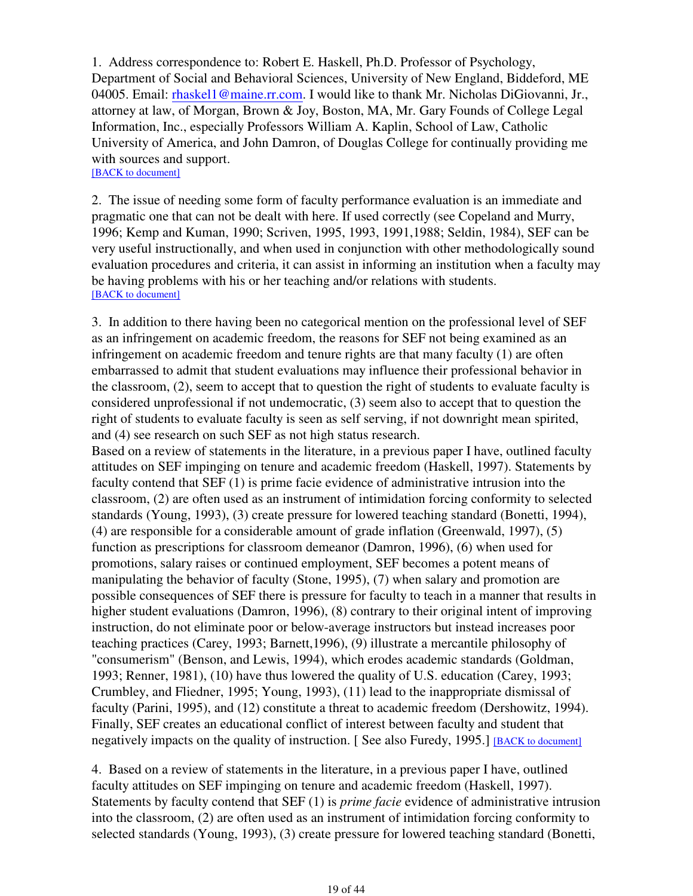1. Address correspondence to: Robert E. Haskell, Ph.D. Professor of Psychology, Department of Social and Behavioral Sciences, University of New England, Biddeford, ME 04005. Email: rhaskel1@maine.rr.com. I would like to thank Mr. Nicholas DiGiovanni, Jr., attorney at law, of Morgan, Brown & Joy, Boston, MA, Mr. Gary Founds of College Legal Information, Inc., especially Professors William A. Kaplin, School of Law, Catholic University of America, and John Damron, of Douglas College for continually providing me with sources and support.

[BACK to document]

2. The issue of needing some form of faculty performance evaluation is an immediate and pragmatic one that can not be dealt with here. If used correctly (see Copeland and Murry, 1996; Kemp and Kuman, 1990; Scriven, 1995, 1993, 1991,1988; Seldin, 1984), SEF can be very useful instructionally, and when used in conjunction with other methodologically sound evaluation procedures and criteria, it can assist in informing an institution when a faculty may be having problems with his or her teaching and/or relations with students. [BACK to document]

3. In addition to there having been no categorical mention on the professional level of SEF as an infringement on academic freedom, the reasons for SEF not being examined as an infringement on academic freedom and tenure rights are that many faculty (1) are often embarrassed to admit that student evaluations may influence their professional behavior in the classroom, (2), seem to accept that to question the right of students to evaluate faculty is considered unprofessional if not undemocratic, (3) seem also to accept that to question the right of students to evaluate faculty is seen as self serving, if not downright mean spirited, and (4) see research on such SEF as not high status research.

Based on a review of statements in the literature, in a previous paper I have, outlined faculty attitudes on SEF impinging on tenure and academic freedom (Haskell, 1997). Statements by faculty contend that SEF (1) is prime facie evidence of administrative intrusion into the classroom, (2) are often used as an instrument of intimidation forcing conformity to selected standards (Young, 1993), (3) create pressure for lowered teaching standard (Bonetti, 1994), (4) are responsible for a considerable amount of grade inflation (Greenwald, 1997), (5) function as prescriptions for classroom demeanor (Damron, 1996), (6) when used for promotions, salary raises or continued employment, SEF becomes a potent means of manipulating the behavior of faculty (Stone, 1995), (7) when salary and promotion are possible consequences of SEF there is pressure for faculty to teach in a manner that results in higher student evaluations (Damron, 1996), (8) contrary to their original intent of improving instruction, do not eliminate poor or below-average instructors but instead increases poor teaching practices (Carey, 1993; Barnett,1996), (9) illustrate a mercantile philosophy of "consumerism" (Benson, and Lewis, 1994), which erodes academic standards (Goldman, 1993; Renner, 1981), (10) have thus lowered the quality of U.S. education (Carey, 1993; Crumbley, and Fliedner, 1995; Young, 1993), (11) lead to the inappropriate dismissal of faculty (Parini, 1995), and (12) constitute a threat to academic freedom (Dershowitz, 1994). Finally, SEF creates an educational conflict of interest between faculty and student that negatively impacts on the quality of instruction. [See also Furedy, 1995.] [BACK to document]

4. Based on a review of statements in the literature, in a previous paper I have, outlined faculty attitudes on SEF impinging on tenure and academic freedom (Haskell, 1997). Statements by faculty contend that SEF (1) is *prime facie* evidence of administrative intrusion into the classroom, (2) are often used as an instrument of intimidation forcing conformity to selected standards (Young, 1993), (3) create pressure for lowered teaching standard (Bonetti,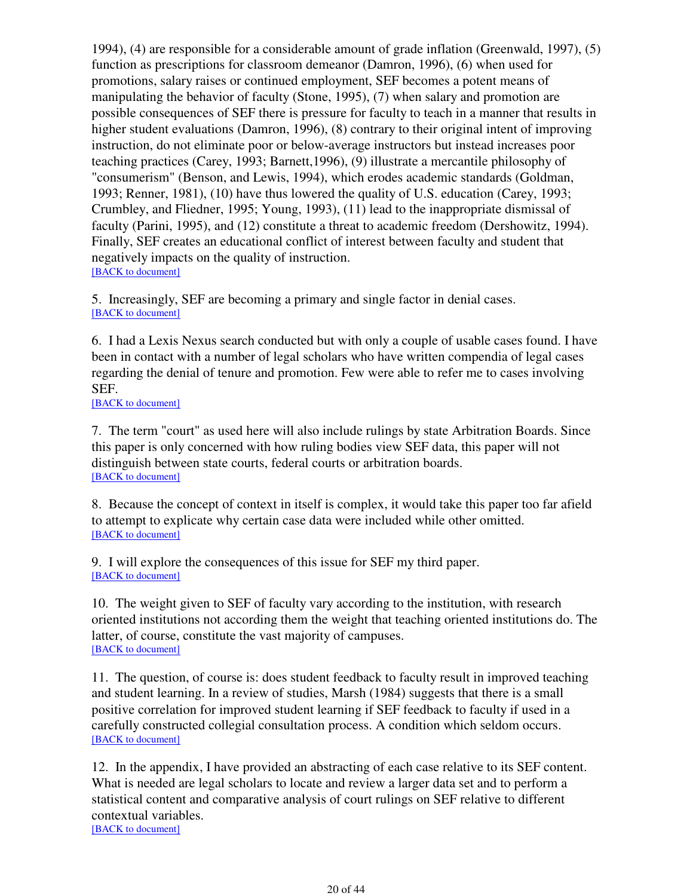1994), (4) are responsible for a considerable amount of grade inflation (Greenwald, 1997), (5) function as prescriptions for classroom demeanor (Damron, 1996), (6) when used for promotions, salary raises or continued employment, SEF becomes a potent means of manipulating the behavior of faculty (Stone, 1995), (7) when salary and promotion are possible consequences of SEF there is pressure for faculty to teach in a manner that results in higher student evaluations (Damron, 1996), (8) contrary to their original intent of improving instruction, do not eliminate poor or below-average instructors but instead increases poor teaching practices (Carey, 1993; Barnett,1996), (9) illustrate a mercantile philosophy of "consumerism" (Benson, and Lewis, 1994), which erodes academic standards (Goldman, 1993; Renner, 1981), (10) have thus lowered the quality of U.S. education (Carey, 1993; Crumbley, and Fliedner, 1995; Young, 1993), (11) lead to the inappropriate dismissal of faculty (Parini, 1995), and (12) constitute a threat to academic freedom (Dershowitz, 1994). Finally, SEF creates an educational conflict of interest between faculty and student that negatively impacts on the quality of instruction. [BACK to document]

5. Increasingly, SEF are becoming a primary and single factor in denial cases. [BACK to document]

6. I had a Lexis Nexus search conducted but with only a couple of usable cases found. I have been in contact with a number of legal scholars who have written compendia of legal cases regarding the denial of tenure and promotion. Few were able to refer me to cases involving SEF.

[BACK to document]

7. The term "court" as used here will also include rulings by state Arbitration Boards. Since this paper is only concerned with how ruling bodies view SEF data, this paper will not distinguish between state courts, federal courts or arbitration boards. [BACK to document]

8. Because the concept of context in itself is complex, it would take this paper too far afield to attempt to explicate why certain case data were included while other omitted. [BACK to document]

9. I will explore the consequences of this issue for SEF my third paper. [BACK to document]

10. The weight given to SEF of faculty vary according to the institution, with research oriented institutions not according them the weight that teaching oriented institutions do. The latter, of course, constitute the vast majority of campuses. [BACK to document]

11. The question, of course is: does student feedback to faculty result in improved teaching and student learning. In a review of studies, Marsh (1984) suggests that there is a small positive correlation for improved student learning if SEF feedback to faculty if used in a carefully constructed collegial consultation process. A condition which seldom occurs. [BACK to document]

12. In the appendix, I have provided an abstracting of each case relative to its SEF content. What is needed are legal scholars to locate and review a larger data set and to perform a statistical content and comparative analysis of court rulings on SEF relative to different contextual variables.

[BACK to document]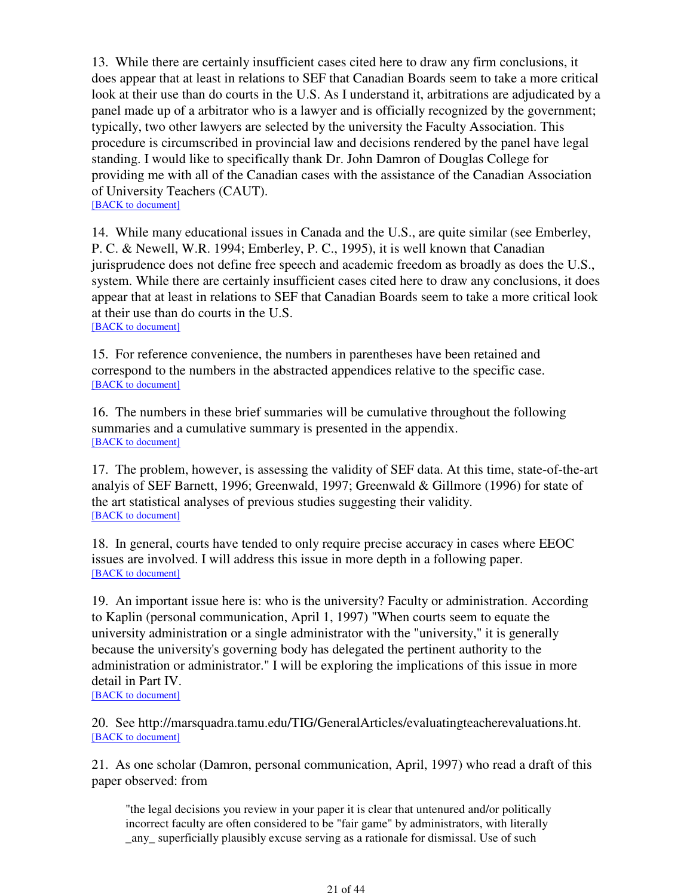13. While there are certainly insufficient cases cited here to draw any firm conclusions, it does appear that at least in relations to SEF that Canadian Boards seem to take a more critical look at their use than do courts in the U.S. As I understand it, arbitrations are adjudicated by a panel made up of a arbitrator who is a lawyer and is officially recognized by the government; typically, two other lawyers are selected by the university the Faculty Association. This procedure is circumscribed in provincial law and decisions rendered by the panel have legal standing. I would like to specifically thank Dr. John Damron of Douglas College for providing me with all of the Canadian cases with the assistance of the Canadian Association of University Teachers (CAUT). [BACK to document]

14. While many educational issues in Canada and the U.S., are quite similar (see Emberley, P. C. & Newell, W.R. 1994; Emberley, P. C., 1995), it is well known that Canadian jurisprudence does not define free speech and academic freedom as broadly as does the U.S., system. While there are certainly insufficient cases cited here to draw any conclusions, it does appear that at least in relations to SEF that Canadian Boards seem to take a more critical look at their use than do courts in the U.S. [BACK to document]

15. For reference convenience, the numbers in parentheses have been retained and correspond to the numbers in the abstracted appendices relative to the specific case. [BACK to document]

16. The numbers in these brief summaries will be cumulative throughout the following summaries and a cumulative summary is presented in the appendix. [BACK to document]

17. The problem, however, is assessing the validity of SEF data. At this time, state-of-the-art analyis of SEF Barnett, 1996; Greenwald, 1997; Greenwald & Gillmore (1996) for state of the art statistical analyses of previous studies suggesting their validity. [BACK to document]

18. In general, courts have tended to only require precise accuracy in cases where EEOC issues are involved. I will address this issue in more depth in a following paper. [BACK to document]

19. An important issue here is: who is the university? Faculty or administration. According to Kaplin (personal communication, April 1, 1997) "When courts seem to equate the university administration or a single administrator with the "university," it is generally because the university's governing body has delegated the pertinent authority to the administration or administrator." I will be exploring the implications of this issue in more detail in Part IV.

[BACK to document]

20. See http://marsquadra.tamu.edu/TIG/GeneralArticles/evaluatingteacherevaluations.ht. [BACK to document]

21. As one scholar (Damron, personal communication, April, 1997) who read a draft of this paper observed: from

"the legal decisions you review in your paper it is clear that untenured and/or politically incorrect faculty are often considered to be "fair game" by administrators, with literally \_any\_ superficially plausibly excuse serving as a rationale for dismissal. Use of such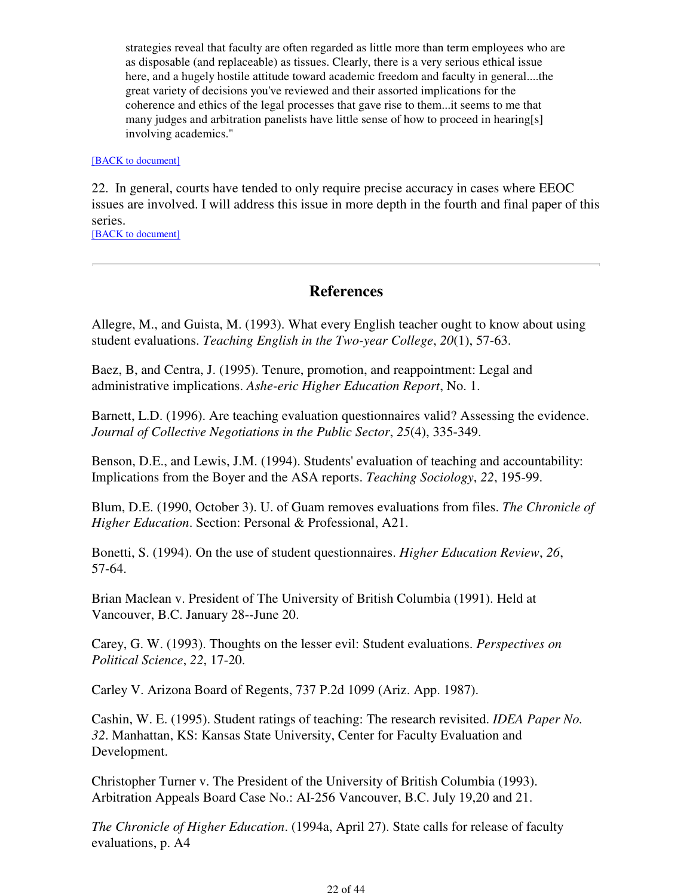strategies reveal that faculty are often regarded as little more than term employees who are as disposable (and replaceable) as tissues. Clearly, there is a very serious ethical issue here, and a hugely hostile attitude toward academic freedom and faculty in general....the great variety of decisions you've reviewed and their assorted implications for the coherence and ethics of the legal processes that gave rise to them...it seems to me that many judges and arbitration panelists have little sense of how to proceed in hearing[s] involving academics."

#### [BACK to document]

22. In general, courts have tended to only require precise accuracy in cases where EEOC issues are involved. I will address this issue in more depth in the fourth and final paper of this series.

[BACK to document]

## **References**

Allegre, M., and Guista, M. (1993). What every English teacher ought to know about using student evaluations. *Teaching English in the Two-year College*, *20*(1), 57-63.

Baez, B, and Centra, J. (1995). Tenure, promotion, and reappointment: Legal and administrative implications. *Ashe-eric Higher Education Report*, No. 1.

Barnett, L.D. (1996). Are teaching evaluation questionnaires valid? Assessing the evidence. *Journal of Collective Negotiations in the Public Sector*, *25*(4), 335-349.

Benson, D.E., and Lewis, J.M. (1994). Students' evaluation of teaching and accountability: Implications from the Boyer and the ASA reports. *Teaching Sociology*, *22*, 195-99.

Blum, D.E. (1990, October 3). U. of Guam removes evaluations from files. *The Chronicle of Higher Education*. Section: Personal & Professional, A21.

Bonetti, S. (1994). On the use of student questionnaires. *Higher Education Review*, *26*, 57-64.

Brian Maclean v. President of The University of British Columbia (1991). Held at Vancouver, B.C. January 28--June 20.

Carey, G. W. (1993). Thoughts on the lesser evil: Student evaluations. *Perspectives on Political Science*, *22*, 17-20.

Carley V. Arizona Board of Regents, 737 P.2d 1099 (Ariz. App. 1987).

Cashin, W. E. (1995). Student ratings of teaching: The research revisited. *IDEA Paper No. 32*. Manhattan, KS: Kansas State University, Center for Faculty Evaluation and Development.

Christopher Turner v. The President of the University of British Columbia (1993). Arbitration Appeals Board Case No.: AI-256 Vancouver, B.C. July 19,20 and 21.

*The Chronicle of Higher Education*. (1994a, April 27). State calls for release of faculty evaluations, p. A4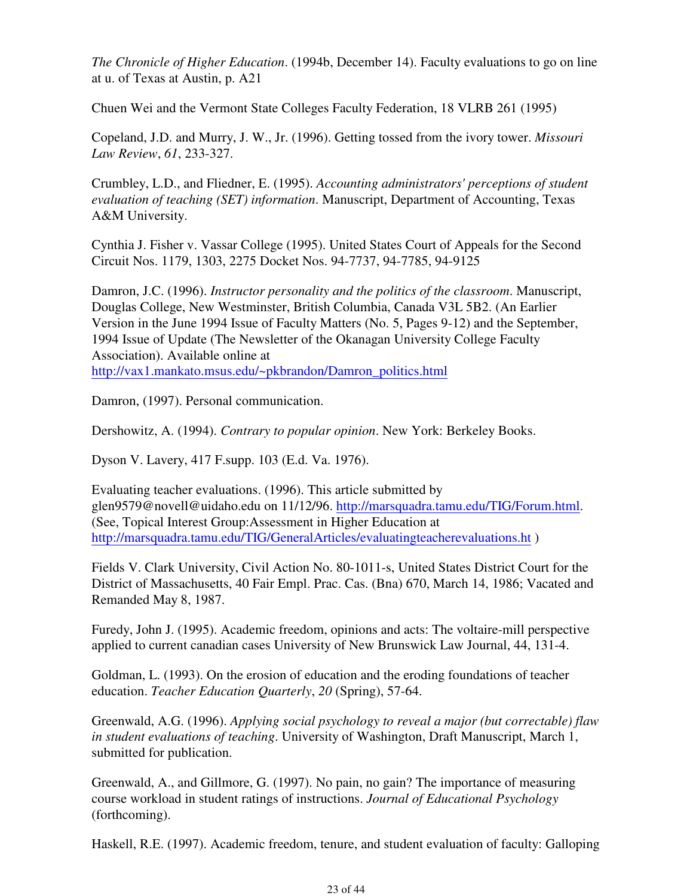*The Chronicle of Higher Education*. (1994b, December 14). Faculty evaluations to go on line at u. of Texas at Austin, p. A21

Chuen Wei and the Vermont State Colleges Faculty Federation, 18 VLRB 261 (1995)

Copeland, J.D. and Murry, J. W., Jr. (1996). Getting tossed from the ivory tower. *Missouri Law Review*, *61*, 233-327.

Crumbley, L.D., and Fliedner, E. (1995). *Accounting administrators' perceptions of student evaluation of teaching (SET) information*. Manuscript, Department of Accounting, Texas A&M University.

Cynthia J. Fisher v. Vassar College (1995). United States Court of Appeals for the Second Circuit Nos. 1179, 1303, 2275 Docket Nos. 94-7737, 94-7785, 94-9125

Damron, J.C. (1996). *Instructor personality and the politics of the classroom*. Manuscript, Douglas College, New Westminster, British Columbia, Canada V3L 5B2. (An Earlier Version in the June 1994 Issue of Faculty Matters (No. 5, Pages 9-12) and the September, 1994 Issue of Update (The Newsletter of the Okanagan University College Faculty Association). Available online at http://vax1.mankato.msus.edu/~pkbrandon/Damron\_politics.html

Damron, (1997). Personal communication.

Dershowitz, A. (1994). *Contrary to popular opinion*. New York: Berkeley Books.

Dyson V. Lavery, 417 F.supp. 103 (E.d. Va. 1976).

Evaluating teacher evaluations. (1996). This article submitted by glen9579@novell@uidaho.edu on 11/12/96. http://marsquadra.tamu.edu/TIG/Forum.html. (See, Topical Interest Group:Assessment in Higher Education at http://marsquadra.tamu.edu/TIG/GeneralArticles/evaluatingteacherevaluations.ht )

Fields V. Clark University, Civil Action No. 80-1011-s, United States District Court for the District of Massachusetts, 40 Fair Empl. Prac. Cas. (Bna) 670, March 14, 1986; Vacated and Remanded May 8, 1987.

Furedy, John J. (1995). Academic freedom, opinions and acts: The voltaire-mill perspective applied to current canadian cases University of New Brunswick Law Journal, 44, 131-4.

Goldman, L. (1993). On the erosion of education and the eroding foundations of teacher education. *Teacher Education Quarterly*, *20* (Spring), 57-64.

Greenwald, A.G. (1996). *Applying social psychology to reveal a major (but correctable) flaw in student evaluations of teaching*. University of Washington, Draft Manuscript, March 1, submitted for publication.

Greenwald, A., and Gillmore, G. (1997). No pain, no gain? The importance of measuring course workload in student ratings of instructions. *Journal of Educational Psychology* (forthcoming).

Haskell, R.E. (1997). Academic freedom, tenure, and student evaluation of faculty: Galloping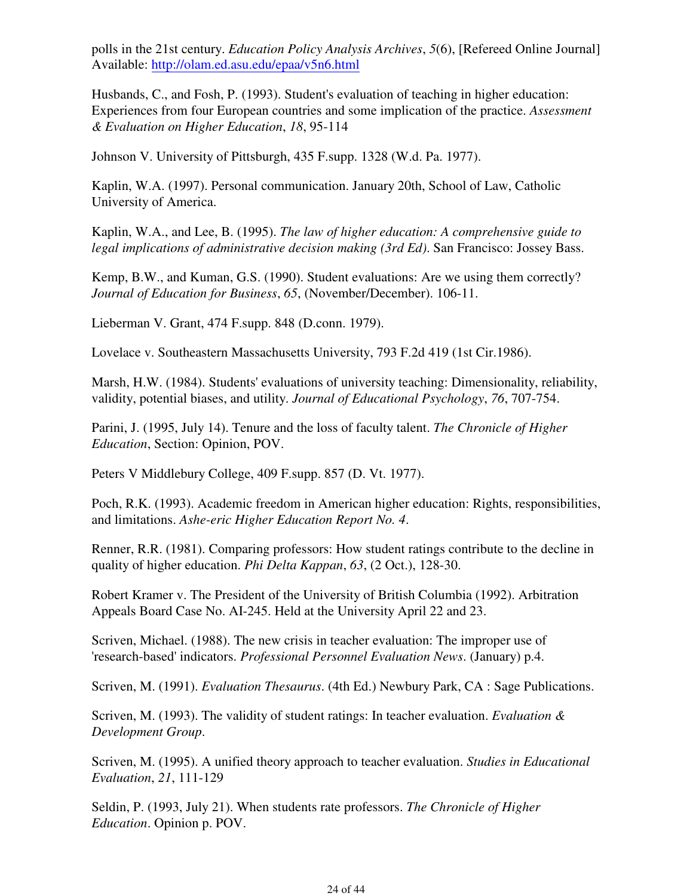polls in the 21st century. *Education Policy Analysis Archives*, *5*(6), [Refereed Online Journal] Available: http://olam.ed.asu.edu/epaa/v5n6.html

Husbands, C., and Fosh, P. (1993). Student's evaluation of teaching in higher education: Experiences from four European countries and some implication of the practice. *Assessment & Evaluation on Higher Education*, *18*, 95-114

Johnson V. University of Pittsburgh, 435 F.supp. 1328 (W.d. Pa. 1977).

Kaplin, W.A. (1997). Personal communication. January 20th, School of Law, Catholic University of America.

Kaplin, W.A., and Lee, B. (1995). *The law of higher education: A comprehensive guide to legal implications of administrative decision making (3rd Ed)*. San Francisco: Jossey Bass.

Kemp, B.W., and Kuman, G.S. (1990). Student evaluations: Are we using them correctly? *Journal of Education for Business*, *65*, (November/December). 106-11.

Lieberman V. Grant, 474 F.supp. 848 (D.conn. 1979).

Lovelace v. Southeastern Massachusetts University, 793 F.2d 419 (1st Cir.1986).

Marsh, H.W. (1984). Students' evaluations of university teaching: Dimensionality, reliability, validity, potential biases, and utility. *Journal of Educational Psychology*, *76*, 707-754.

Parini, J. (1995, July 14). Tenure and the loss of faculty talent. *The Chronicle of Higher Education*, Section: Opinion, POV.

Peters V Middlebury College, 409 F.supp. 857 (D. Vt. 1977).

Poch, R.K. (1993). Academic freedom in American higher education: Rights, responsibilities, and limitations. *Ashe-eric Higher Education Report No. 4*.

Renner, R.R. (1981). Comparing professors: How student ratings contribute to the decline in quality of higher education. *Phi Delta Kappan*, *63*, (2 Oct.), 128-30.

Robert Kramer v. The President of the University of British Columbia (1992). Arbitration Appeals Board Case No. AI-245. Held at the University April 22 and 23.

Scriven, Michael. (1988). The new crisis in teacher evaluation: The improper use of 'research-based' indicators. *Professional Personnel Evaluation News*. (January) p.4.

Scriven, M. (1991). *Evaluation Thesaurus*. (4th Ed.) Newbury Park, CA : Sage Publications.

Scriven, M. (1993). The validity of student ratings: In teacher evaluation. *Evaluation & Development Group*.

Scriven, M. (1995). A unified theory approach to teacher evaluation. *Studies in Educational Evaluation*, *21*, 111-129

Seldin, P. (1993, July 21). When students rate professors. *The Chronicle of Higher Education*. Opinion p. POV.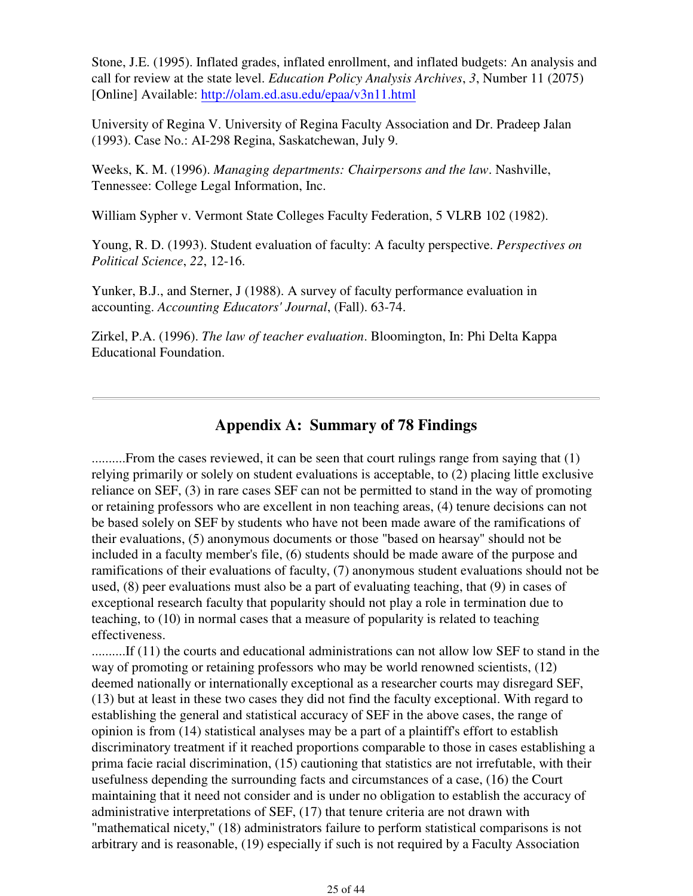Stone, J.E. (1995). Inflated grades, inflated enrollment, and inflated budgets: An analysis and call for review at the state level. *Education Policy Analysis Archives*, *3*, Number 11 (2075) [Online] Available: http://olam.ed.asu.edu/epaa/v3n11.html

University of Regina V. University of Regina Faculty Association and Dr. Pradeep Jalan (1993). Case No.: AI-298 Regina, Saskatchewan, July 9.

Weeks, K. M. (1996). *Managing departments: Chairpersons and the law*. Nashville, Tennessee: College Legal Information, Inc.

William Sypher v. Vermont State Colleges Faculty Federation, 5 VLRB 102 (1982).

Young, R. D. (1993). Student evaluation of faculty: A faculty perspective. *Perspectives on Political Science*, *22*, 12-16.

Yunker, B.J., and Sterner, J (1988). A survey of faculty performance evaluation in accounting. *Accounting Educators' Journal*, (Fall). 63-74.

Zirkel, P.A. (1996). *The law of teacher evaluation*. Bloomington, In: Phi Delta Kappa Educational Foundation.

## **Appendix A: Summary of 78 Findings**

..........From the cases reviewed, it can be seen that court rulings range from saying that (1) relying primarily or solely on student evaluations is acceptable, to (2) placing little exclusive reliance on SEF, (3) in rare cases SEF can not be permitted to stand in the way of promoting or retaining professors who are excellent in non teaching areas, (4) tenure decisions can not be based solely on SEF by students who have not been made aware of the ramifications of their evaluations, (5) anonymous documents or those "based on hearsay" should not be included in a faculty member's file, (6) students should be made aware of the purpose and ramifications of their evaluations of faculty, (7) anonymous student evaluations should not be used, (8) peer evaluations must also be a part of evaluating teaching, that (9) in cases of exceptional research faculty that popularity should not play a role in termination due to teaching, to (10) in normal cases that a measure of popularity is related to teaching effectiveness.

..........If (11) the courts and educational administrations can not allow low SEF to stand in the way of promoting or retaining professors who may be world renowned scientists, (12) deemed nationally or internationally exceptional as a researcher courts may disregard SEF, (13) but at least in these two cases they did not find the faculty exceptional. With regard to establishing the general and statistical accuracy of SEF in the above cases, the range of opinion is from (14) statistical analyses may be a part of a plaintiff's effort to establish discriminatory treatment if it reached proportions comparable to those in cases establishing a prima facie racial discrimination, (15) cautioning that statistics are not irrefutable, with their usefulness depending the surrounding facts and circumstances of a case, (16) the Court maintaining that it need not consider and is under no obligation to establish the accuracy of administrative interpretations of SEF, (17) that tenure criteria are not drawn with "mathematical nicety," (18) administrators failure to perform statistical comparisons is not arbitrary and is reasonable, (19) especially if such is not required by a Faculty Association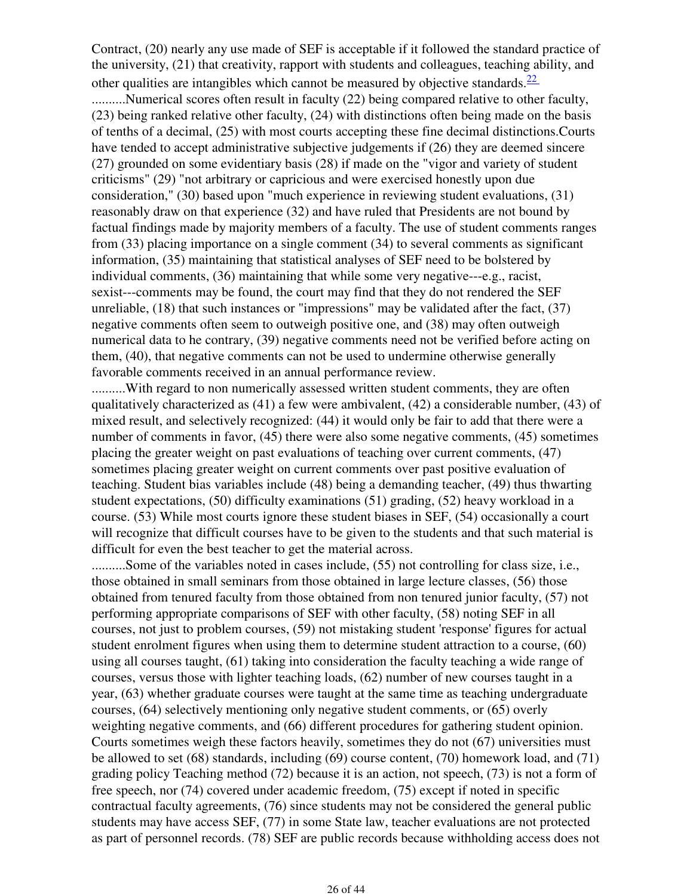Contract, (20) nearly any use made of SEF is acceptable if it followed the standard practice of the university, (21) that creativity, rapport with students and colleagues, teaching ability, and other qualities are intangibles which cannot be measured by objective standards.  $\frac{22}{2}$ ..........Numerical scores often result in faculty (22) being compared relative to other faculty, (23) being ranked relative other faculty, (24) with distinctions often being made on the basis of tenths of a decimal, (25) with most courts accepting these fine decimal distinctions.Courts have tended to accept administrative subjective judgements if (26) they are deemed sincere (27) grounded on some evidentiary basis (28) if made on the "vigor and variety of student criticisms" (29) "not arbitrary or capricious and were exercised honestly upon due consideration," (30) based upon "much experience in reviewing student evaluations, (31) reasonably draw on that experience (32) and have ruled that Presidents are not bound by factual findings made by majority members of a faculty. The use of student comments ranges from (33) placing importance on a single comment (34) to several comments as significant information, (35) maintaining that statistical analyses of SEF need to be bolstered by individual comments, (36) maintaining that while some very negative---e.g., racist, sexist---comments may be found, the court may find that they do not rendered the SEF unreliable, (18) that such instances or "impressions" may be validated after the fact, (37) negative comments often seem to outweigh positive one, and (38) may often outweigh numerical data to he contrary, (39) negative comments need not be verified before acting on them, (40), that negative comments can not be used to undermine otherwise generally favorable comments received in an annual performance review.

..........With regard to non numerically assessed written student comments, they are often qualitatively characterized as (41) a few were ambivalent, (42) a considerable number, (43) of mixed result, and selectively recognized: (44) it would only be fair to add that there were a number of comments in favor, (45) there were also some negative comments, (45) sometimes placing the greater weight on past evaluations of teaching over current comments, (47) sometimes placing greater weight on current comments over past positive evaluation of teaching. Student bias variables include (48) being a demanding teacher, (49) thus thwarting student expectations, (50) difficulty examinations (51) grading, (52) heavy workload in a course. (53) While most courts ignore these student biases in SEF, (54) occasionally a court will recognize that difficult courses have to be given to the students and that such material is difficult for even the best teacher to get the material across.

..........Some of the variables noted in cases include, (55) not controlling for class size, i.e., those obtained in small seminars from those obtained in large lecture classes, (56) those obtained from tenured faculty from those obtained from non tenured junior faculty, (57) not performing appropriate comparisons of SEF with other faculty, (58) noting SEF in all courses, not just to problem courses, (59) not mistaking student 'response' figures for actual student enrolment figures when using them to determine student attraction to a course, (60) using all courses taught, (61) taking into consideration the faculty teaching a wide range of courses, versus those with lighter teaching loads, (62) number of new courses taught in a year, (63) whether graduate courses were taught at the same time as teaching undergraduate courses, (64) selectively mentioning only negative student comments, or (65) overly weighting negative comments, and (66) different procedures for gathering student opinion. Courts sometimes weigh these factors heavily, sometimes they do not (67) universities must be allowed to set (68) standards, including (69) course content, (70) homework load, and (71) grading policy Teaching method (72) because it is an action, not speech, (73) is not a form of free speech, nor (74) covered under academic freedom, (75) except if noted in specific contractual faculty agreements, (76) since students may not be considered the general public students may have access SEF, (77) in some State law, teacher evaluations are not protected as part of personnel records. (78) SEF are public records because withholding access does not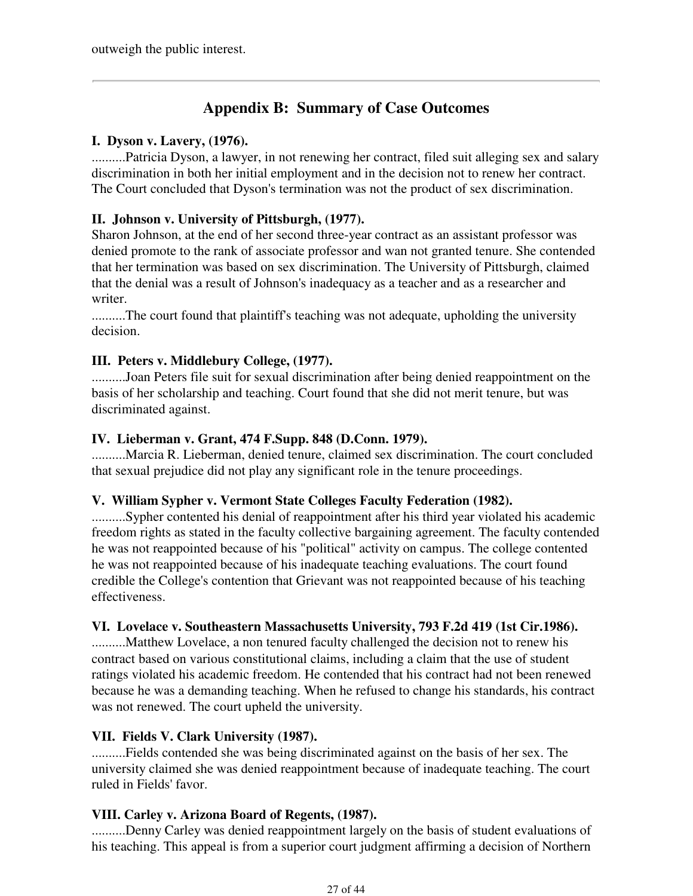## **Appendix B: Summary of Case Outcomes**

## **I. Dyson v. Lavery, (1976).**

..........Patricia Dyson, a lawyer, in not renewing her contract, filed suit alleging sex and salary discrimination in both her initial employment and in the decision not to renew her contract. The Court concluded that Dyson's termination was not the product of sex discrimination.

## **II. Johnson v. University of Pittsburgh, (1977).**

Sharon Johnson, at the end of her second three-year contract as an assistant professor was denied promote to the rank of associate professor and wan not granted tenure. She contended that her termination was based on sex discrimination. The University of Pittsburgh, claimed that the denial was a result of Johnson's inadequacy as a teacher and as a researcher and writer.

..........The court found that plaintiff's teaching was not adequate, upholding the university decision.

## **III. Peters v. Middlebury College, (1977).**

..........Joan Peters file suit for sexual discrimination after being denied reappointment on the basis of her scholarship and teaching. Court found that she did not merit tenure, but was discriminated against.

## **IV. Lieberman v. Grant, 474 F.Supp. 848 (D.Conn. 1979).**

..........Marcia R. Lieberman, denied tenure, claimed sex discrimination. The court concluded that sexual prejudice did not play any significant role in the tenure proceedings.

## **V. William Sypher v. Vermont State Colleges Faculty Federation (1982).**

..........Sypher contented his denial of reappointment after his third year violated his academic freedom rights as stated in the faculty collective bargaining agreement. The faculty contended he was not reappointed because of his "political" activity on campus. The college contented he was not reappointed because of his inadequate teaching evaluations. The court found credible the College's contention that Grievant was not reappointed because of his teaching effectiveness.

## **VI. Lovelace v. Southeastern Massachusetts University, 793 F.2d 419 (1st Cir.1986).**

..........Matthew Lovelace, a non tenured faculty challenged the decision not to renew his contract based on various constitutional claims, including a claim that the use of student ratings violated his academic freedom. He contended that his contract had not been renewed because he was a demanding teaching. When he refused to change his standards, his contract was not renewed. The court upheld the university.

## **VII. Fields V. Clark University (1987).**

..........Fields contended she was being discriminated against on the basis of her sex. The university claimed she was denied reappointment because of inadequate teaching. The court ruled in Fields' favor.

## **VIII. Carley v. Arizona Board of Regents, (1987).**

..........Denny Carley was denied reappointment largely on the basis of student evaluations of his teaching. This appeal is from a superior court judgment affirming a decision of Northern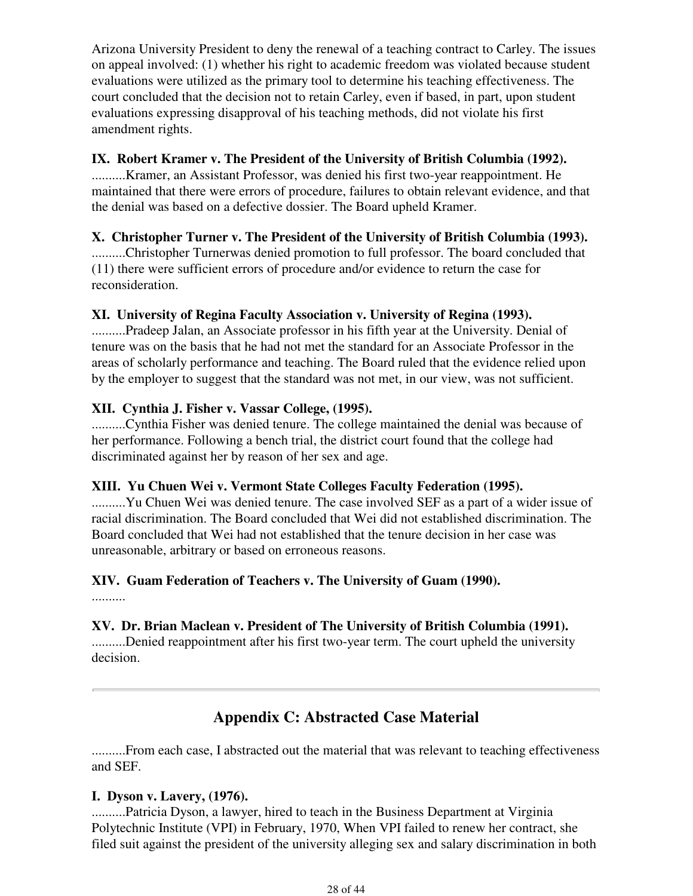Arizona University President to deny the renewal of a teaching contract to Carley. The issues on appeal involved: (1) whether his right to academic freedom was violated because student evaluations were utilized as the primary tool to determine his teaching effectiveness. The court concluded that the decision not to retain Carley, even if based, in part, upon student evaluations expressing disapproval of his teaching methods, did not violate his first amendment rights.

## **IX. Robert Kramer v. The President of the University of British Columbia (1992).**

..........Kramer, an Assistant Professor, was denied his first two-year reappointment. He maintained that there were errors of procedure, failures to obtain relevant evidence, and that the denial was based on a defective dossier. The Board upheld Kramer.

## **X. Christopher Turner v. The President of the University of British Columbia (1993).**

..........Christopher Turnerwas denied promotion to full professor. The board concluded that (11) there were sufficient errors of procedure and/or evidence to return the case for reconsideration.

## **XI. University of Regina Faculty Association v. University of Regina (1993).**

..........Pradeep Jalan, an Associate professor in his fifth year at the University. Denial of tenure was on the basis that he had not met the standard for an Associate Professor in the areas of scholarly performance and teaching. The Board ruled that the evidence relied upon by the employer to suggest that the standard was not met, in our view, was not sufficient.

## **XII. Cynthia J. Fisher v. Vassar College, (1995).**

..........Cynthia Fisher was denied tenure. The college maintained the denial was because of her performance. Following a bench trial, the district court found that the college had discriminated against her by reason of her sex and age.

## **XIII. Yu Chuen Wei v. Vermont State Colleges Faculty Federation (1995).**

..........Yu Chuen Wei was denied tenure. The case involved SEF as a part of a wider issue of racial discrimination. The Board concluded that Wei did not established discrimination. The Board concluded that Wei had not established that the tenure decision in her case was unreasonable, arbitrary or based on erroneous reasons.

## **XIV. Guam Federation of Teachers v. The University of Guam (1990).**

..........

## **XV. Dr. Brian Maclean v. President of The University of British Columbia (1991).**

..........Denied reappointment after his first two-year term. The court upheld the university decision.

## **Appendix C: Abstracted Case Material**

..........From each case, I abstracted out the material that was relevant to teaching effectiveness and SEF.

## **I. Dyson v. Lavery, (1976).**

..........Patricia Dyson, a lawyer, hired to teach in the Business Department at Virginia Polytechnic Institute (VPI) in February, 1970, When VPI failed to renew her contract, she filed suit against the president of the university alleging sex and salary discrimination in both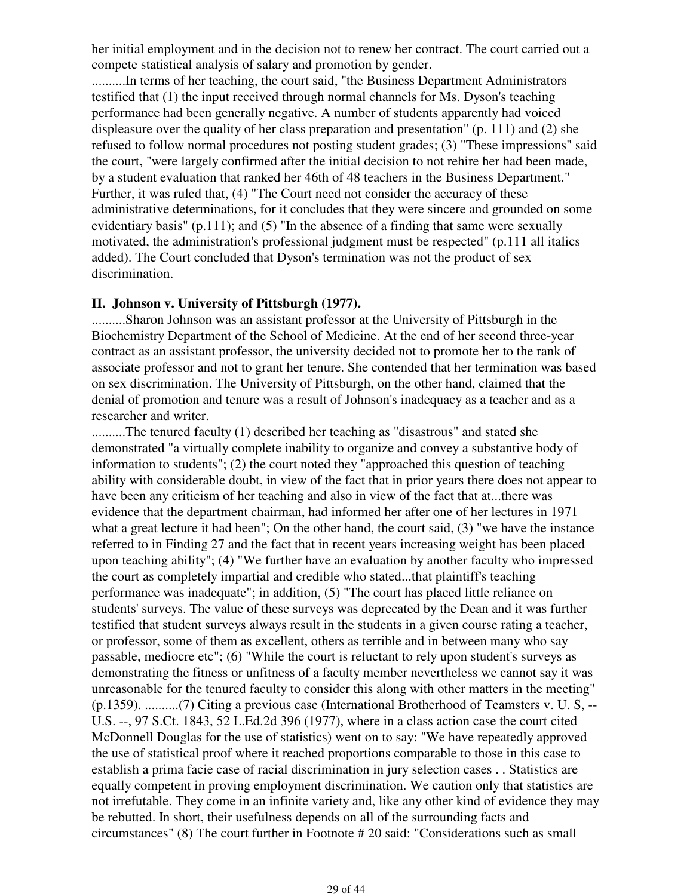her initial employment and in the decision not to renew her contract. The court carried out a compete statistical analysis of salary and promotion by gender.

..........In terms of her teaching, the court said, "the Business Department Administrators testified that (1) the input received through normal channels for Ms. Dyson's teaching performance had been generally negative. A number of students apparently had voiced displeasure over the quality of her class preparation and presentation" (p. 111) and (2) she refused to follow normal procedures not posting student grades; (3) "These impressions" said the court, "were largely confirmed after the initial decision to not rehire her had been made, by a student evaluation that ranked her 46th of 48 teachers in the Business Department." Further, it was ruled that, (4) "The Court need not consider the accuracy of these administrative determinations, for it concludes that they were sincere and grounded on some evidentiary basis" (p.111); and  $(5)$  "In the absence of a finding that same were sexually motivated, the administration's professional judgment must be respected" (p.111 all italics added). The Court concluded that Dyson's termination was not the product of sex discrimination.

#### **II. Johnson v. University of Pittsburgh (1977).**

..........Sharon Johnson was an assistant professor at the University of Pittsburgh in the Biochemistry Department of the School of Medicine. At the end of her second three-year contract as an assistant professor, the university decided not to promote her to the rank of associate professor and not to grant her tenure. She contended that her termination was based on sex discrimination. The University of Pittsburgh, on the other hand, claimed that the denial of promotion and tenure was a result of Johnson's inadequacy as a teacher and as a researcher and writer.

..........The tenured faculty (1) described her teaching as "disastrous" and stated she demonstrated "a virtually complete inability to organize and convey a substantive body of information to students"; (2) the court noted they "approached this question of teaching ability with considerable doubt, in view of the fact that in prior years there does not appear to have been any criticism of her teaching and also in view of the fact that at...there was evidence that the department chairman, had informed her after one of her lectures in 1971 what a great lecture it had been"; On the other hand, the court said, (3) "we have the instance referred to in Finding 27 and the fact that in recent years increasing weight has been placed upon teaching ability"; (4) "We further have an evaluation by another faculty who impressed the court as completely impartial and credible who stated...that plaintiff's teaching performance was inadequate"; in addition, (5) "The court has placed little reliance on students' surveys. The value of these surveys was deprecated by the Dean and it was further testified that student surveys always result in the students in a given course rating a teacher, or professor, some of them as excellent, others as terrible and in between many who say passable, mediocre etc"; (6) "While the court is reluctant to rely upon student's surveys as demonstrating the fitness or unfitness of a faculty member nevertheless we cannot say it was unreasonable for the tenured faculty to consider this along with other matters in the meeting" (p.1359). ..........(7) Citing a previous case (International Brotherhood of Teamsters v. U. S, -- U.S. --, 97 S.Ct. 1843, 52 L.Ed.2d 396 (1977), where in a class action case the court cited McDonnell Douglas for the use of statistics) went on to say: "We have repeatedly approved the use of statistical proof where it reached proportions comparable to those in this case to establish a prima facie case of racial discrimination in jury selection cases . . Statistics are equally competent in proving employment discrimination. We caution only that statistics are not irrefutable. They come in an infinite variety and, like any other kind of evidence they may be rebutted. In short, their usefulness depends on all of the surrounding facts and circumstances" (8) The court further in Footnote # 20 said: "Considerations such as small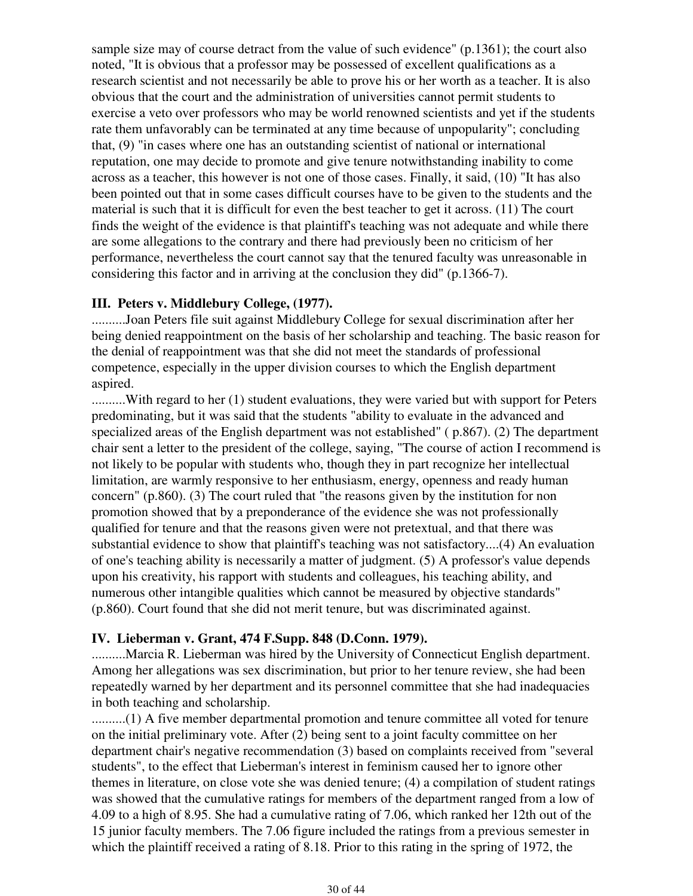sample size may of course detract from the value of such evidence" (p.1361); the court also noted, "It is obvious that a professor may be possessed of excellent qualifications as a research scientist and not necessarily be able to prove his or her worth as a teacher. It is also obvious that the court and the administration of universities cannot permit students to exercise a veto over professors who may be world renowned scientists and yet if the students rate them unfavorably can be terminated at any time because of unpopularity"; concluding that, (9) "in cases where one has an outstanding scientist of national or international reputation, one may decide to promote and give tenure notwithstanding inability to come across as a teacher, this however is not one of those cases. Finally, it said, (10) "It has also been pointed out that in some cases difficult courses have to be given to the students and the material is such that it is difficult for even the best teacher to get it across. (11) The court finds the weight of the evidence is that plaintiff's teaching was not adequate and while there are some allegations to the contrary and there had previously been no criticism of her performance, nevertheless the court cannot say that the tenured faculty was unreasonable in considering this factor and in arriving at the conclusion they did" (p.1366-7).

#### **III. Peters v. Middlebury College, (1977).**

..........Joan Peters file suit against Middlebury College for sexual discrimination after her being denied reappointment on the basis of her scholarship and teaching. The basic reason for the denial of reappointment was that she did not meet the standards of professional competence, especially in the upper division courses to which the English department aspired.

..........With regard to her (1) student evaluations, they were varied but with support for Peters predominating, but it was said that the students "ability to evaluate in the advanced and specialized areas of the English department was not established" ( p.867). (2) The department chair sent a letter to the president of the college, saying, "The course of action I recommend is not likely to be popular with students who, though they in part recognize her intellectual limitation, are warmly responsive to her enthusiasm, energy, openness and ready human concern" (p.860). (3) The court ruled that "the reasons given by the institution for non promotion showed that by a preponderance of the evidence she was not professionally qualified for tenure and that the reasons given were not pretextual, and that there was substantial evidence to show that plaintiff's teaching was not satisfactory....(4) An evaluation of one's teaching ability is necessarily a matter of judgment. (5) A professor's value depends upon his creativity, his rapport with students and colleagues, his teaching ability, and numerous other intangible qualities which cannot be measured by objective standards" (p.860). Court found that she did not merit tenure, but was discriminated against.

#### **IV. Lieberman v. Grant, 474 F.Supp. 848 (D.Conn. 1979).**

..........Marcia R. Lieberman was hired by the University of Connecticut English department. Among her allegations was sex discrimination, but prior to her tenure review, she had been repeatedly warned by her department and its personnel committee that she had inadequacies in both teaching and scholarship.

..........(1) A five member departmental promotion and tenure committee all voted for tenure on the initial preliminary vote. After (2) being sent to a joint faculty committee on her department chair's negative recommendation (3) based on complaints received from "several students", to the effect that Lieberman's interest in feminism caused her to ignore other themes in literature, on close vote she was denied tenure; (4) a compilation of student ratings was showed that the cumulative ratings for members of the department ranged from a low of 4.09 to a high of 8.95. She had a cumulative rating of 7.06, which ranked her 12th out of the 15 junior faculty members. The 7.06 figure included the ratings from a previous semester in which the plaintiff received a rating of 8.18. Prior to this rating in the spring of 1972, the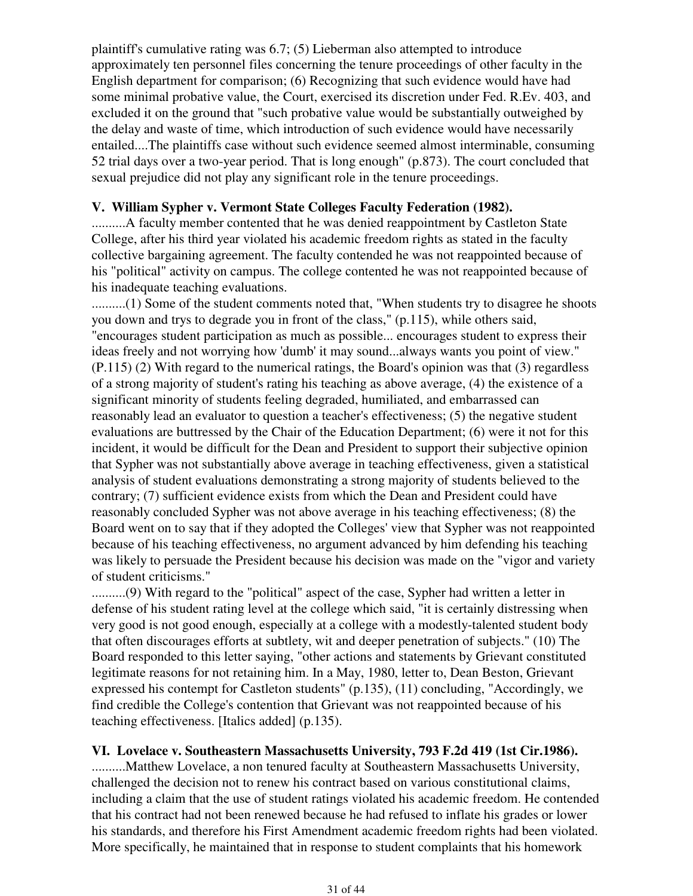plaintiff's cumulative rating was 6.7; (5) Lieberman also attempted to introduce approximately ten personnel files concerning the tenure proceedings of other faculty in the English department for comparison; (6) Recognizing that such evidence would have had some minimal probative value, the Court, exercised its discretion under Fed. R.Ev. 403, and excluded it on the ground that "such probative value would be substantially outweighed by the delay and waste of time, which introduction of such evidence would have necessarily entailed....The plaintiffs case without such evidence seemed almost interminable, consuming 52 trial days over a two-year period. That is long enough" (p.873). The court concluded that sexual prejudice did not play any significant role in the tenure proceedings.

#### **V. William Sypher v. Vermont State Colleges Faculty Federation (1982).**

..........A faculty member contented that he was denied reappointment by Castleton State College, after his third year violated his academic freedom rights as stated in the faculty collective bargaining agreement. The faculty contended he was not reappointed because of his "political" activity on campus. The college contented he was not reappointed because of his inadequate teaching evaluations.

..........(1) Some of the student comments noted that, "When students try to disagree he shoots you down and trys to degrade you in front of the class," (p.115), while others said, "encourages student participation as much as possible... encourages student to express their ideas freely and not worrying how 'dumb' it may sound...always wants you point of view." (P.115) (2) With regard to the numerical ratings, the Board's opinion was that (3) regardless of a strong majority of student's rating his teaching as above average, (4) the existence of a significant minority of students feeling degraded, humiliated, and embarrassed can reasonably lead an evaluator to question a teacher's effectiveness; (5) the negative student evaluations are buttressed by the Chair of the Education Department; (6) were it not for this incident, it would be difficult for the Dean and President to support their subjective opinion that Sypher was not substantially above average in teaching effectiveness, given a statistical analysis of student evaluations demonstrating a strong majority of students believed to the contrary; (7) sufficient evidence exists from which the Dean and President could have reasonably concluded Sypher was not above average in his teaching effectiveness; (8) the Board went on to say that if they adopted the Colleges' view that Sypher was not reappointed because of his teaching effectiveness, no argument advanced by him defending his teaching was likely to persuade the President because his decision was made on the "vigor and variety of student criticisms."

..........(9) With regard to the "political" aspect of the case, Sypher had written a letter in defense of his student rating level at the college which said, "it is certainly distressing when very good is not good enough, especially at a college with a modestly-talented student body that often discourages efforts at subtlety, wit and deeper penetration of subjects." (10) The Board responded to this letter saying, "other actions and statements by Grievant constituted legitimate reasons for not retaining him. In a May, 1980, letter to, Dean Beston, Grievant expressed his contempt for Castleton students" (p.135), (11) concluding, "Accordingly, we find credible the College's contention that Grievant was not reappointed because of his teaching effectiveness. [Italics added] (p.135).

#### **VI. Lovelace v. Southeastern Massachusetts University, 793 F.2d 419 (1st Cir.1986).**

..........Matthew Lovelace, a non tenured faculty at Southeastern Massachusetts University, challenged the decision not to renew his contract based on various constitutional claims, including a claim that the use of student ratings violated his academic freedom. He contended that his contract had not been renewed because he had refused to inflate his grades or lower his standards, and therefore his First Amendment academic freedom rights had been violated. More specifically, he maintained that in response to student complaints that his homework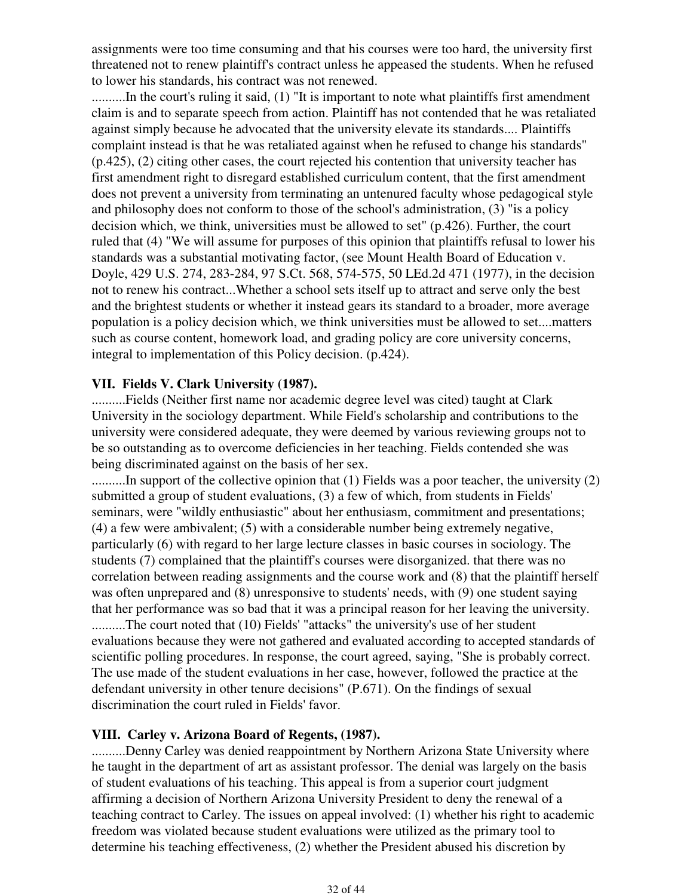assignments were too time consuming and that his courses were too hard, the university first threatened not to renew plaintiff's contract unless he appeased the students. When he refused to lower his standards, his contract was not renewed.

..........In the court's ruling it said, (1) "It is important to note what plaintiffs first amendment claim is and to separate speech from action. Plaintiff has not contended that he was retaliated against simply because he advocated that the university elevate its standards.... Plaintiffs complaint instead is that he was retaliated against when he refused to change his standards" (p.425), (2) citing other cases, the court rejected his contention that university teacher has first amendment right to disregard established curriculum content, that the first amendment does not prevent a university from terminating an untenured faculty whose pedagogical style and philosophy does not conform to those of the school's administration, (3) "is a policy decision which, we think, universities must be allowed to set" (p.426). Further, the court ruled that (4) "We will assume for purposes of this opinion that plaintiffs refusal to lower his standards was a substantial motivating factor, (see Mount Health Board of Education v. Doyle, 429 U.S. 274, 283-284, 97 S.Ct. 568, 574-575, 50 LEd.2d 471 (1977), in the decision not to renew his contract...Whether a school sets itself up to attract and serve only the best and the brightest students or whether it instead gears its standard to a broader, more average population is a policy decision which, we think universities must be allowed to set....matters such as course content, homework load, and grading policy are core university concerns, integral to implementation of this Policy decision. (p.424).

#### **VII. Fields V. Clark University (1987).**

..........Fields (Neither first name nor academic degree level was cited) taught at Clark University in the sociology department. While Field's scholarship and contributions to the university were considered adequate, they were deemed by various reviewing groups not to be so outstanding as to overcome deficiencies in her teaching. Fields contended she was being discriminated against on the basis of her sex.

..........In support of the collective opinion that (1) Fields was a poor teacher, the university (2) submitted a group of student evaluations, (3) a few of which, from students in Fields' seminars, were "wildly enthusiastic" about her enthusiasm, commitment and presentations; (4) a few were ambivalent; (5) with a considerable number being extremely negative, particularly (6) with regard to her large lecture classes in basic courses in sociology. The students (7) complained that the plaintiff's courses were disorganized. that there was no correlation between reading assignments and the course work and (8) that the plaintiff herself was often unprepared and (8) unresponsive to students' needs, with (9) one student saying that her performance was so bad that it was a principal reason for her leaving the university. ..........The court noted that (10) Fields' "attacks" the university's use of her student evaluations because they were not gathered and evaluated according to accepted standards of scientific polling procedures. In response, the court agreed, saying, "She is probably correct. The use made of the student evaluations in her case, however, followed the practice at the defendant university in other tenure decisions" (P.671). On the findings of sexual discrimination the court ruled in Fields' favor.

#### **VIII. Carley v. Arizona Board of Regents, (1987).**

..........Denny Carley was denied reappointment by Northern Arizona State University where he taught in the department of art as assistant professor. The denial was largely on the basis of student evaluations of his teaching. This appeal is from a superior court judgment affirming a decision of Northern Arizona University President to deny the renewal of a teaching contract to Carley. The issues on appeal involved: (1) whether his right to academic freedom was violated because student evaluations were utilized as the primary tool to determine his teaching effectiveness, (2) whether the President abused his discretion by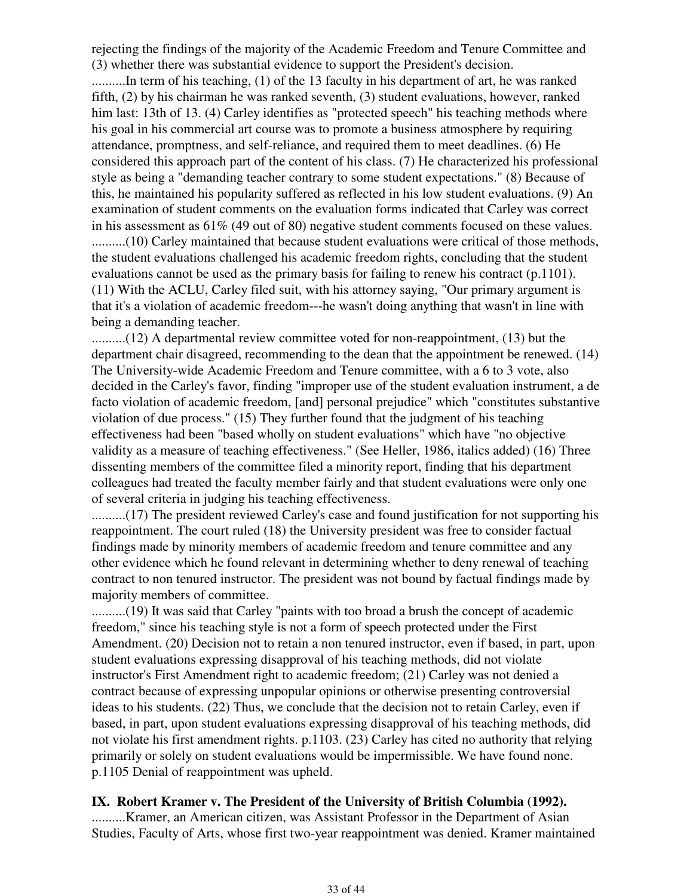rejecting the findings of the majority of the Academic Freedom and Tenure Committee and (3) whether there was substantial evidence to support the President's decision.

..........In term of his teaching, (1) of the 13 faculty in his department of art, he was ranked fifth, (2) by his chairman he was ranked seventh, (3) student evaluations, however, ranked him last: 13th of 13. (4) Carley identifies as "protected speech" his teaching methods where his goal in his commercial art course was to promote a business atmosphere by requiring attendance, promptness, and self-reliance, and required them to meet deadlines. (6) He considered this approach part of the content of his class. (7) He characterized his professional style as being a "demanding teacher contrary to some student expectations." (8) Because of this, he maintained his popularity suffered as reflected in his low student evaluations. (9) An examination of student comments on the evaluation forms indicated that Carley was correct in his assessment as 61% (49 out of 80) negative student comments focused on these values. ..........(10) Carley maintained that because student evaluations were critical of those methods, the student evaluations challenged his academic freedom rights, concluding that the student evaluations cannot be used as the primary basis for failing to renew his contract (p.1101). (11) With the ACLU, Carley filed suit, with his attorney saying, "Our primary argument is that it's a violation of academic freedom---he wasn't doing anything that wasn't in line with being a demanding teacher.

..........(12) A departmental review committee voted for non-reappointment, (13) but the department chair disagreed, recommending to the dean that the appointment be renewed. (14) The University-wide Academic Freedom and Tenure committee, with a 6 to 3 vote, also decided in the Carley's favor, finding "improper use of the student evaluation instrument, a de facto violation of academic freedom, [and] personal prejudice" which "constitutes substantive violation of due process." (15) They further found that the judgment of his teaching effectiveness had been "based wholly on student evaluations" which have "no objective validity as a measure of teaching effectiveness." (See Heller, 1986, italics added) (16) Three dissenting members of the committee filed a minority report, finding that his department colleagues had treated the faculty member fairly and that student evaluations were only one of several criteria in judging his teaching effectiveness.

..........(17) The president reviewed Carley's case and found justification for not supporting his reappointment. The court ruled (18) the University president was free to consider factual findings made by minority members of academic freedom and tenure committee and any other evidence which he found relevant in determining whether to deny renewal of teaching contract to non tenured instructor. The president was not bound by factual findings made by majority members of committee.

..........(19) It was said that Carley "paints with too broad a brush the concept of academic freedom," since his teaching style is not a form of speech protected under the First Amendment. (20) Decision not to retain a non tenured instructor, even if based, in part, upon student evaluations expressing disapproval of his teaching methods, did not violate instructor's First Amendment right to academic freedom; (21) Carley was not denied a contract because of expressing unpopular opinions or otherwise presenting controversial ideas to his students. (22) Thus, we conclude that the decision not to retain Carley, even if based, in part, upon student evaluations expressing disapproval of his teaching methods, did not violate his first amendment rights. p.1103. (23) Carley has cited no authority that relying primarily or solely on student evaluations would be impermissible. We have found none. p.1105 Denial of reappointment was upheld.

## **IX. Robert Kramer v. The President of the University of British Columbia (1992).**

..........Kramer, an American citizen, was Assistant Professor in the Department of Asian Studies, Faculty of Arts, whose first two-year reappointment was denied. Kramer maintained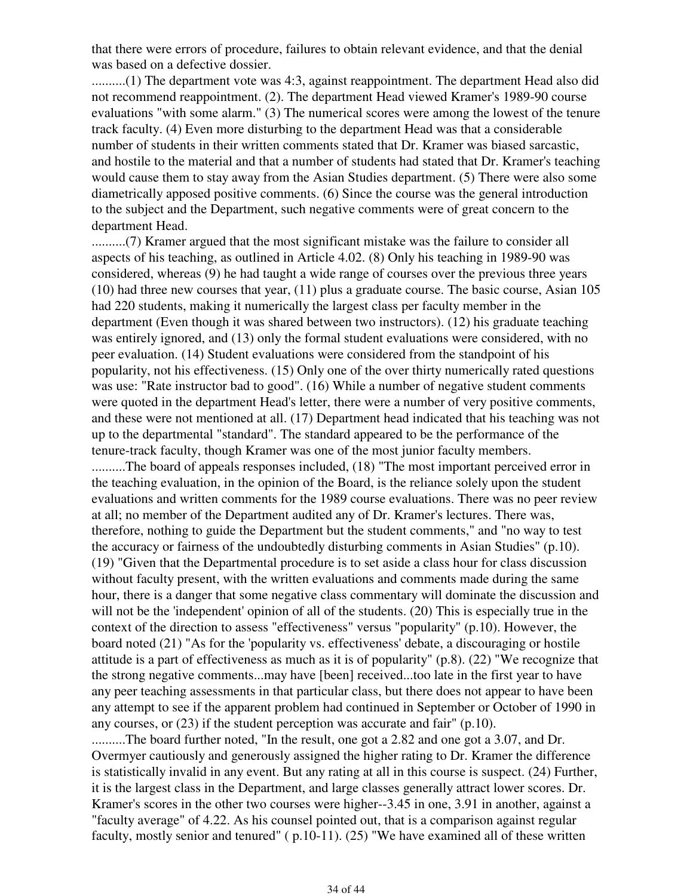that there were errors of procedure, failures to obtain relevant evidence, and that the denial was based on a defective dossier.

..........(1) The department vote was 4:3, against reappointment. The department Head also did not recommend reappointment. (2). The department Head viewed Kramer's 1989-90 course evaluations "with some alarm." (3) The numerical scores were among the lowest of the tenure track faculty. (4) Even more disturbing to the department Head was that a considerable number of students in their written comments stated that Dr. Kramer was biased sarcastic, and hostile to the material and that a number of students had stated that Dr. Kramer's teaching would cause them to stay away from the Asian Studies department. (5) There were also some diametrically apposed positive comments. (6) Since the course was the general introduction to the subject and the Department, such negative comments were of great concern to the department Head.

..........(7) Kramer argued that the most significant mistake was the failure to consider all aspects of his teaching, as outlined in Article 4.02. (8) Only his teaching in 1989-90 was considered, whereas (9) he had taught a wide range of courses over the previous three years (10) had three new courses that year, (11) plus a graduate course. The basic course, Asian 105 had 220 students, making it numerically the largest class per faculty member in the department (Even though it was shared between two instructors). (12) his graduate teaching was entirely ignored, and (13) only the formal student evaluations were considered, with no peer evaluation. (14) Student evaluations were considered from the standpoint of his popularity, not his effectiveness. (15) Only one of the over thirty numerically rated questions was use: "Rate instructor bad to good". (16) While a number of negative student comments were quoted in the department Head's letter, there were a number of very positive comments, and these were not mentioned at all. (17) Department head indicated that his teaching was not up to the departmental "standard". The standard appeared to be the performance of the tenure-track faculty, though Kramer was one of the most junior faculty members. ..........The board of appeals responses included, (18) "The most important perceived error in the teaching evaluation, in the opinion of the Board, is the reliance solely upon the student evaluations and written comments for the 1989 course evaluations. There was no peer review at all; no member of the Department audited any of Dr. Kramer's lectures. There was, therefore, nothing to guide the Department but the student comments," and "no way to test the accuracy or fairness of the undoubtedly disturbing comments in Asian Studies" (p.10). (19) "Given that the Departmental procedure is to set aside a class hour for class discussion without faculty present, with the written evaluations and comments made during the same hour, there is a danger that some negative class commentary will dominate the discussion and will not be the 'independent' opinion of all of the students. (20) This is especially true in the context of the direction to assess "effectiveness" versus "popularity" (p.10). However, the board noted (21) "As for the 'popularity vs. effectiveness' debate, a discouraging or hostile attitude is a part of effectiveness as much as it is of popularity" (p.8). (22) "We recognize that the strong negative comments...may have [been] received...too late in the first year to have any peer teaching assessments in that particular class, but there does not appear to have been any attempt to see if the apparent problem had continued in September or October of 1990 in any courses, or (23) if the student perception was accurate and fair" (p.10).

..........The board further noted, "In the result, one got a 2.82 and one got a 3.07, and Dr. Overmyer cautiously and generously assigned the higher rating to Dr. Kramer the difference is statistically invalid in any event. But any rating at all in this course is suspect. (24) Further, it is the largest class in the Department, and large classes generally attract lower scores. Dr. Kramer's scores in the other two courses were higher--3.45 in one, 3.91 in another, against a "faculty average" of 4.22. As his counsel pointed out, that is a comparison against regular faculty, mostly senior and tenured" ( p.10-11). (25) "We have examined all of these written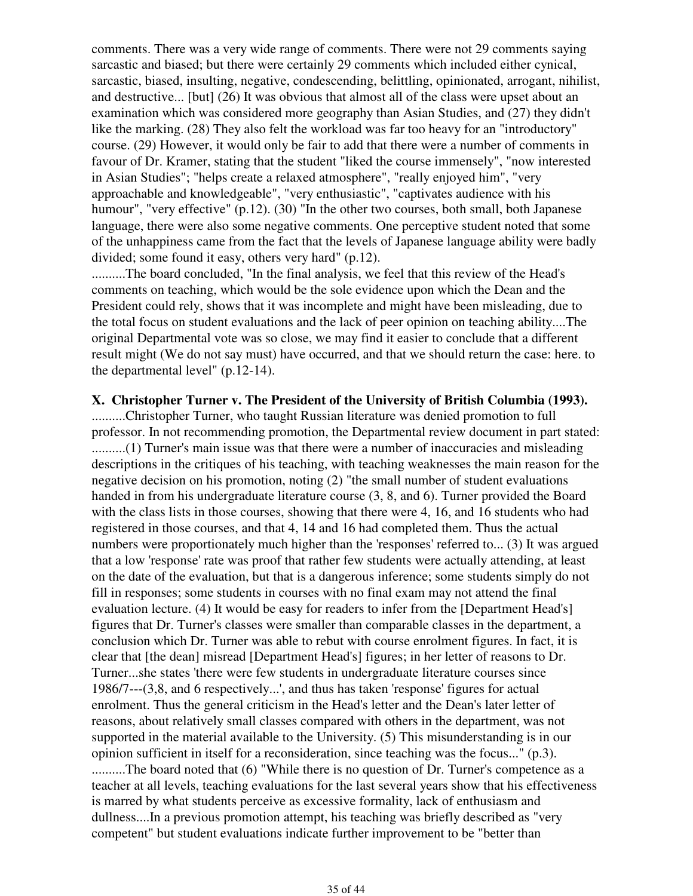comments. There was a very wide range of comments. There were not 29 comments saying sarcastic and biased; but there were certainly 29 comments which included either cynical, sarcastic, biased, insulting, negative, condescending, belittling, opinionated, arrogant, nihilist, and destructive... [but] (26) It was obvious that almost all of the class were upset about an examination which was considered more geography than Asian Studies, and (27) they didn't like the marking. (28) They also felt the workload was far too heavy for an "introductory" course. (29) However, it would only be fair to add that there were a number of comments in favour of Dr. Kramer, stating that the student "liked the course immensely", "now interested in Asian Studies"; "helps create a relaxed atmosphere", "really enjoyed him", "very approachable and knowledgeable", "very enthusiastic", "captivates audience with his humour", "very effective" (p.12). (30) "In the other two courses, both small, both Japanese language, there were also some negative comments. One perceptive student noted that some of the unhappiness came from the fact that the levels of Japanese language ability were badly divided; some found it easy, others very hard" (p.12).

..........The board concluded, "In the final analysis, we feel that this review of the Head's comments on teaching, which would be the sole evidence upon which the Dean and the President could rely, shows that it was incomplete and might have been misleading, due to the total focus on student evaluations and the lack of peer opinion on teaching ability....The original Departmental vote was so close, we may find it easier to conclude that a different result might (We do not say must) have occurred, and that we should return the case: here. to the departmental level" (p.12-14).

#### **X. Christopher Turner v. The President of the University of British Columbia (1993).**

..........Christopher Turner, who taught Russian literature was denied promotion to full professor. In not recommending promotion, the Departmental review document in part stated: ..........(1) Turner's main issue was that there were a number of inaccuracies and misleading descriptions in the critiques of his teaching, with teaching weaknesses the main reason for the negative decision on his promotion, noting (2) "the small number of student evaluations handed in from his undergraduate literature course (3, 8, and 6). Turner provided the Board with the class lists in those courses, showing that there were 4, 16, and 16 students who had registered in those courses, and that 4, 14 and 16 had completed them. Thus the actual numbers were proportionately much higher than the 'responses' referred to... (3) It was argued that a low 'response' rate was proof that rather few students were actually attending, at least on the date of the evaluation, but that is a dangerous inference; some students simply do not fill in responses; some students in courses with no final exam may not attend the final evaluation lecture. (4) It would be easy for readers to infer from the [Department Head's] figures that Dr. Turner's classes were smaller than comparable classes in the department, a conclusion which Dr. Turner was able to rebut with course enrolment figures. In fact, it is clear that [the dean] misread [Department Head's] figures; in her letter of reasons to Dr. Turner...she states 'there were few students in undergraduate literature courses since 1986/7---(3,8, and 6 respectively...', and thus has taken 'response' figures for actual enrolment. Thus the general criticism in the Head's letter and the Dean's later letter of reasons, about relatively small classes compared with others in the department, was not supported in the material available to the University. (5) This misunderstanding is in our opinion sufficient in itself for a reconsideration, since teaching was the focus..." (p.3). ..........The board noted that (6) "While there is no question of Dr. Turner's competence as a teacher at all levels, teaching evaluations for the last several years show that his effectiveness is marred by what students perceive as excessive formality, lack of enthusiasm and dullness....In a previous promotion attempt, his teaching was briefly described as "very competent" but student evaluations indicate further improvement to be "better than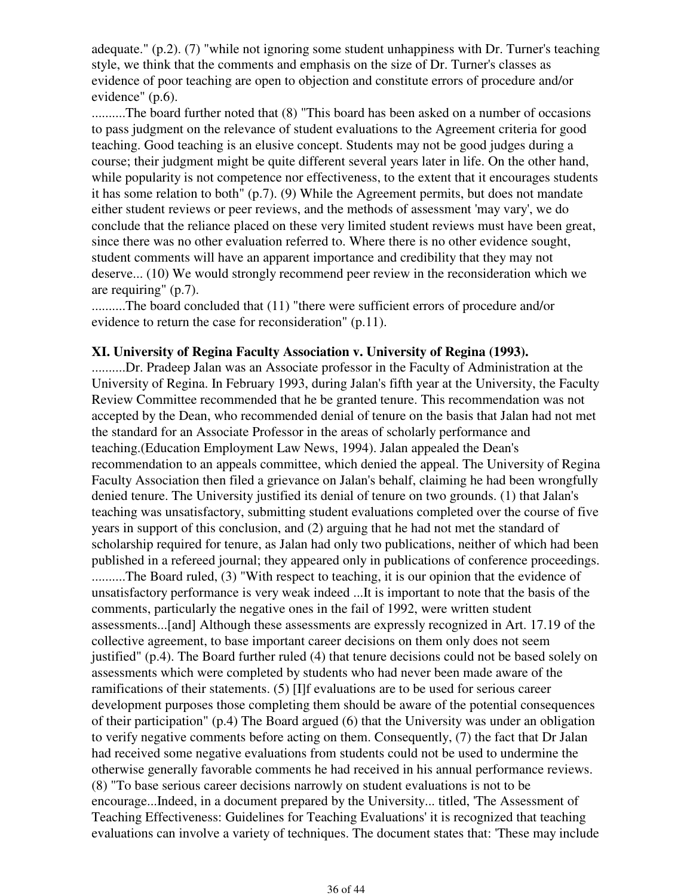adequate." (p.2). (7) "while not ignoring some student unhappiness with Dr. Turner's teaching style, we think that the comments and emphasis on the size of Dr. Turner's classes as evidence of poor teaching are open to objection and constitute errors of procedure and/or evidence" (p.6).

..........The board further noted that (8) "This board has been asked on a number of occasions to pass judgment on the relevance of student evaluations to the Agreement criteria for good teaching. Good teaching is an elusive concept. Students may not be good judges during a course; their judgment might be quite different several years later in life. On the other hand, while popularity is not competence nor effectiveness, to the extent that it encourages students it has some relation to both" (p.7). (9) While the Agreement permits, but does not mandate either student reviews or peer reviews, and the methods of assessment 'may vary', we do conclude that the reliance placed on these very limited student reviews must have been great, since there was no other evaluation referred to. Where there is no other evidence sought, student comments will have an apparent importance and credibility that they may not deserve... (10) We would strongly recommend peer review in the reconsideration which we are requiring" (p.7).

..........The board concluded that (11) "there were sufficient errors of procedure and/or evidence to return the case for reconsideration" (p.11).

#### **XI. University of Regina Faculty Association v. University of Regina (1993).**

..........Dr. Pradeep Jalan was an Associate professor in the Faculty of Administration at the University of Regina. In February 1993, during Jalan's fifth year at the University, the Faculty Review Committee recommended that he be granted tenure. This recommendation was not accepted by the Dean, who recommended denial of tenure on the basis that Jalan had not met the standard for an Associate Professor in the areas of scholarly performance and teaching.(Education Employment Law News, 1994). Jalan appealed the Dean's recommendation to an appeals committee, which denied the appeal. The University of Regina Faculty Association then filed a grievance on Jalan's behalf, claiming he had been wrongfully denied tenure. The University justified its denial of tenure on two grounds. (1) that Jalan's teaching was unsatisfactory, submitting student evaluations completed over the course of five years in support of this conclusion, and (2) arguing that he had not met the standard of scholarship required for tenure, as Jalan had only two publications, neither of which had been published in a refereed journal; they appeared only in publications of conference proceedings. ..........The Board ruled, (3) "With respect to teaching, it is our opinion that the evidence of

unsatisfactory performance is very weak indeed ...It is important to note that the basis of the comments, particularly the negative ones in the fail of 1992, were written student assessments...[and] Although these assessments are expressly recognized in Art. 17.19 of the collective agreement, to base important career decisions on them only does not seem justified" (p.4). The Board further ruled (4) that tenure decisions could not be based solely on assessments which were completed by students who had never been made aware of the ramifications of their statements. (5) [I]f evaluations are to be used for serious career development purposes those completing them should be aware of the potential consequences of their participation" (p.4) The Board argued (6) that the University was under an obligation to verify negative comments before acting on them. Consequently, (7) the fact that Dr Jalan had received some negative evaluations from students could not be used to undermine the otherwise generally favorable comments he had received in his annual performance reviews. (8) "To base serious career decisions narrowly on student evaluations is not to be encourage...Indeed, in a document prepared by the University... titled, 'The Assessment of Teaching Effectiveness: Guidelines for Teaching Evaluations' it is recognized that teaching evaluations can involve a variety of techniques. The document states that: 'These may include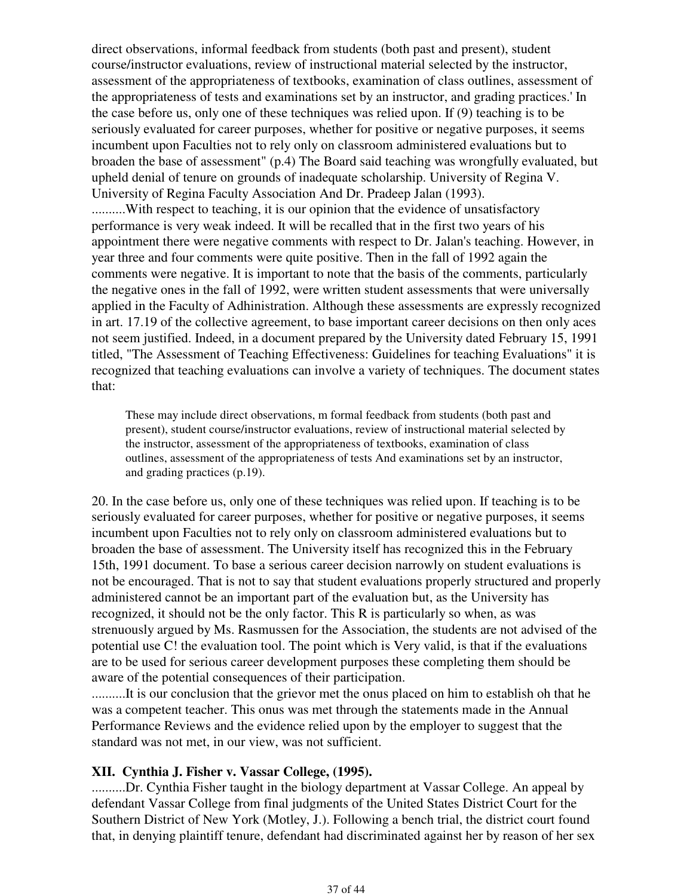direct observations, informal feedback from students (both past and present), student course/instructor evaluations, review of instructional material selected by the instructor, assessment of the appropriateness of textbooks, examination of class outlines, assessment of the appropriateness of tests and examinations set by an instructor, and grading practices.' In the case before us, only one of these techniques was relied upon. If (9) teaching is to be seriously evaluated for career purposes, whether for positive or negative purposes, it seems incumbent upon Faculties not to rely only on classroom administered evaluations but to broaden the base of assessment" (p.4) The Board said teaching was wrongfully evaluated, but upheld denial of tenure on grounds of inadequate scholarship. University of Regina V. University of Regina Faculty Association And Dr. Pradeep Jalan (1993). ..........With respect to teaching, it is our opinion that the evidence of unsatisfactory performance is very weak indeed. It will be recalled that in the first two years of his appointment there were negative comments with respect to Dr. Jalan's teaching. However, in year three and four comments were quite positive. Then in the fall of 1992 again the comments were negative. It is important to note that the basis of the comments, particularly the negative ones in the fall of 1992, were written student assessments that were universally applied in the Faculty of Adhinistration. Although these assessments are expressly recognized in art. 17.19 of the collective agreement, to base important career decisions on then only aces not seem justified. Indeed, in a document prepared by the University dated February 15, 1991 titled, "The Assessment of Teaching Effectiveness: Guidelines for teaching Evaluations" it is recognized that teaching evaluations can involve a variety of techniques. The document states that:

These may include direct observations, m formal feedback from students (both past and present), student course/instructor evaluations, review of instructional material selected by the instructor, assessment of the appropriateness of textbooks, examination of class outlines, assessment of the appropriateness of tests And examinations set by an instructor, and grading practices (p.19).

20. In the case before us, only one of these techniques was relied upon. If teaching is to be seriously evaluated for career purposes, whether for positive or negative purposes, it seems incumbent upon Faculties not to rely only on classroom administered evaluations but to broaden the base of assessment. The University itself has recognized this in the February 15th, 1991 document. To base a serious career decision narrowly on student evaluations is not be encouraged. That is not to say that student evaluations properly structured and properly administered cannot be an important part of the evaluation but, as the University has recognized, it should not be the only factor. This R is particularly so when, as was strenuously argued by Ms. Rasmussen for the Association, the students are not advised of the potential use C! the evaluation tool. The point which is Very valid, is that if the evaluations are to be used for serious career development purposes these completing them should be aware of the potential consequences of their participation.

..........It is our conclusion that the grievor met the onus placed on him to establish oh that he was a competent teacher. This onus was met through the statements made in the Annual Performance Reviews and the evidence relied upon by the employer to suggest that the standard was not met, in our view, was not sufficient.

#### **XII. Cynthia J. Fisher v. Vassar College, (1995).**

..........Dr. Cynthia Fisher taught in the biology department at Vassar College. An appeal by defendant Vassar College from final judgments of the United States District Court for the Southern District of New York (Motley, J.). Following a bench trial, the district court found that, in denying plaintiff tenure, defendant had discriminated against her by reason of her sex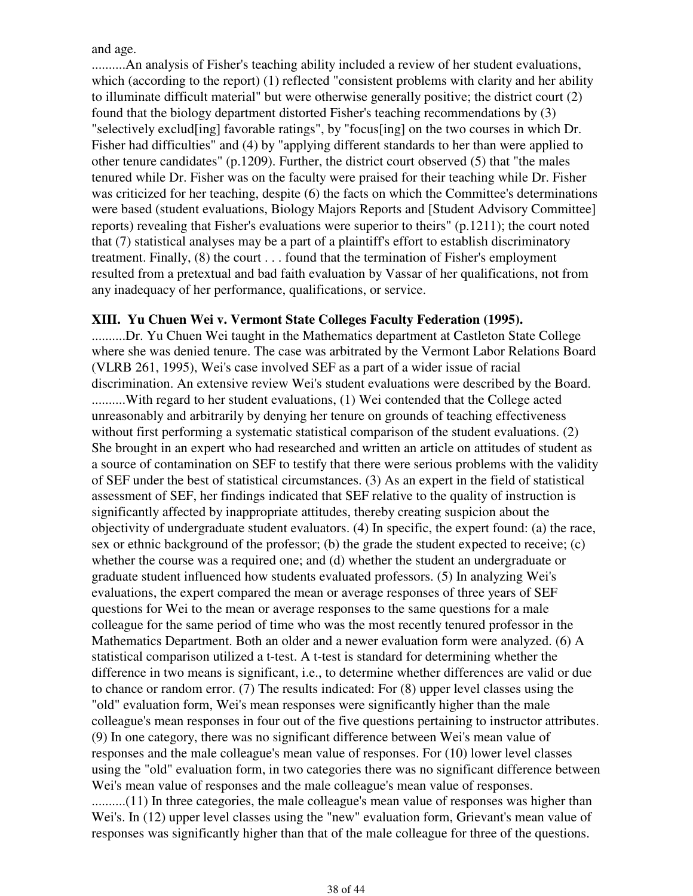and age.

..........An analysis of Fisher's teaching ability included a review of her student evaluations, which (according to the report) (1) reflected "consistent problems with clarity and her ability to illuminate difficult material" but were otherwise generally positive; the district court (2) found that the biology department distorted Fisher's teaching recommendations by (3) "selectively exclud[ing] favorable ratings", by "focus[ing] on the two courses in which Dr. Fisher had difficulties" and (4) by "applying different standards to her than were applied to other tenure candidates" (p.1209). Further, the district court observed (5) that "the males tenured while Dr. Fisher was on the faculty were praised for their teaching while Dr. Fisher was criticized for her teaching, despite (6) the facts on which the Committee's determinations were based (student evaluations, Biology Majors Reports and [Student Advisory Committee] reports) revealing that Fisher's evaluations were superior to theirs" (p.1211); the court noted that (7) statistical analyses may be a part of a plaintiff's effort to establish discriminatory treatment. Finally, (8) the court . . . found that the termination of Fisher's employment resulted from a pretextual and bad faith evaluation by Vassar of her qualifications, not from any inadequacy of her performance, qualifications, or service.

### **XIII. Yu Chuen Wei v. Vermont State Colleges Faculty Federation (1995).**

..........Dr. Yu Chuen Wei taught in the Mathematics department at Castleton State College where she was denied tenure. The case was arbitrated by the Vermont Labor Relations Board (VLRB 261, 1995), Wei's case involved SEF as a part of a wider issue of racial discrimination. An extensive review Wei's student evaluations were described by the Board. ..........With regard to her student evaluations, (1) Wei contended that the College acted unreasonably and arbitrarily by denying her tenure on grounds of teaching effectiveness without first performing a systematic statistical comparison of the student evaluations. (2) She brought in an expert who had researched and written an article on attitudes of student as a source of contamination on SEF to testify that there were serious problems with the validity of SEF under the best of statistical circumstances. (3) As an expert in the field of statistical assessment of SEF, her findings indicated that SEF relative to the quality of instruction is significantly affected by inappropriate attitudes, thereby creating suspicion about the objectivity of undergraduate student evaluators. (4) In specific, the expert found: (a) the race, sex or ethnic background of the professor; (b) the grade the student expected to receive;  $(c)$ whether the course was a required one; and (d) whether the student an undergraduate or graduate student influenced how students evaluated professors. (5) In analyzing Wei's evaluations, the expert compared the mean or average responses of three years of SEF questions for Wei to the mean or average responses to the same questions for a male colleague for the same period of time who was the most recently tenured professor in the Mathematics Department. Both an older and a newer evaluation form were analyzed. (6) A statistical comparison utilized a t-test. A t-test is standard for determining whether the difference in two means is significant, i.e., to determine whether differences are valid or due to chance or random error. (7) The results indicated: For (8) upper level classes using the "old" evaluation form, Wei's mean responses were significantly higher than the male colleague's mean responses in four out of the five questions pertaining to instructor attributes. (9) In one category, there was no significant difference between Wei's mean value of responses and the male colleague's mean value of responses. For (10) lower level classes using the "old" evaluation form, in two categories there was no significant difference between Wei's mean value of responses and the male colleague's mean value of responses. ..........(11) In three categories, the male colleague's mean value of responses was higher than

Wei's. In (12) upper level classes using the "new" evaluation form, Grievant's mean value of responses was significantly higher than that of the male colleague for three of the questions.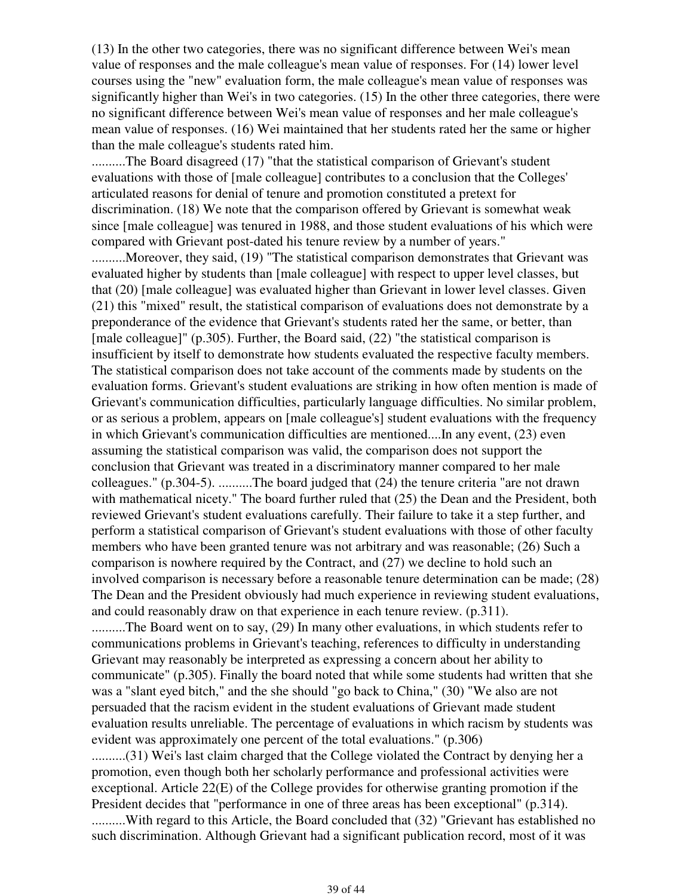(13) In the other two categories, there was no significant difference between Wei's mean value of responses and the male colleague's mean value of responses. For (14) lower level courses using the "new" evaluation form, the male colleague's mean value of responses was significantly higher than Wei's in two categories. (15) In the other three categories, there were no significant difference between Wei's mean value of responses and her male colleague's mean value of responses. (16) Wei maintained that her students rated her the same or higher than the male colleague's students rated him.

..........The Board disagreed (17) "that the statistical comparison of Grievant's student evaluations with those of [male colleague] contributes to a conclusion that the Colleges' articulated reasons for denial of tenure and promotion constituted a pretext for discrimination. (18) We note that the comparison offered by Grievant is somewhat weak since [male colleague] was tenured in 1988, and those student evaluations of his which were compared with Grievant post-dated his tenure review by a number of years."

..........Moreover, they said, (19) "The statistical comparison demonstrates that Grievant was evaluated higher by students than [male colleague] with respect to upper level classes, but that (20) [male colleague] was evaluated higher than Grievant in lower level classes. Given (21) this "mixed" result, the statistical comparison of evaluations does not demonstrate by a preponderance of the evidence that Grievant's students rated her the same, or better, than [male colleague]" (p.305). Further, the Board said, (22) "the statistical comparison is insufficient by itself to demonstrate how students evaluated the respective faculty members. The statistical comparison does not take account of the comments made by students on the evaluation forms. Grievant's student evaluations are striking in how often mention is made of Grievant's communication difficulties, particularly language difficulties. No similar problem, or as serious a problem, appears on [male colleague's] student evaluations with the frequency in which Grievant's communication difficulties are mentioned....In any event, (23) even assuming the statistical comparison was valid, the comparison does not support the conclusion that Grievant was treated in a discriminatory manner compared to her male colleagues." (p.304-5). ..........The board judged that (24) the tenure criteria "are not drawn with mathematical nicety." The board further ruled that  $(25)$  the Dean and the President, both reviewed Grievant's student evaluations carefully. Their failure to take it a step further, and perform a statistical comparison of Grievant's student evaluations with those of other faculty members who have been granted tenure was not arbitrary and was reasonable; (26) Such a comparison is nowhere required by the Contract, and (27) we decline to hold such an involved comparison is necessary before a reasonable tenure determination can be made; (28) The Dean and the President obviously had much experience in reviewing student evaluations, and could reasonably draw on that experience in each tenure review. (p.311).

..........The Board went on to say, (29) In many other evaluations, in which students refer to communications problems in Grievant's teaching, references to difficulty in understanding Grievant may reasonably be interpreted as expressing a concern about her ability to communicate" (p.305). Finally the board noted that while some students had written that she was a "slant eyed bitch," and the she should "go back to China," (30) "We also are not persuaded that the racism evident in the student evaluations of Grievant made student evaluation results unreliable. The percentage of evaluations in which racism by students was evident was approximately one percent of the total evaluations." (p.306)

..........(31) Wei's last claim charged that the College violated the Contract by denying her a promotion, even though both her scholarly performance and professional activities were exceptional. Article 22(E) of the College provides for otherwise granting promotion if the President decides that "performance in one of three areas has been exceptional" (p.314). ..........With regard to this Article, the Board concluded that (32) "Grievant has established no such discrimination. Although Grievant had a significant publication record, most of it was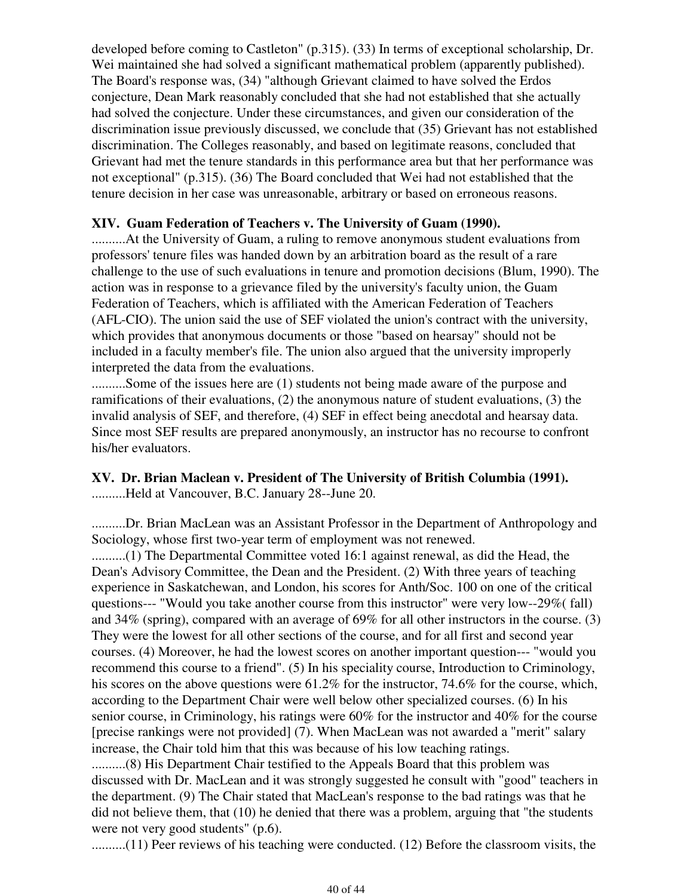developed before coming to Castleton" (p.315). (33) In terms of exceptional scholarship, Dr. Wei maintained she had solved a significant mathematical problem (apparently published). The Board's response was, (34) "although Grievant claimed to have solved the Erdos conjecture, Dean Mark reasonably concluded that she had not established that she actually had solved the conjecture. Under these circumstances, and given our consideration of the discrimination issue previously discussed, we conclude that (35) Grievant has not established discrimination. The Colleges reasonably, and based on legitimate reasons, concluded that Grievant had met the tenure standards in this performance area but that her performance was not exceptional" (p.315). (36) The Board concluded that Wei had not established that the tenure decision in her case was unreasonable, arbitrary or based on erroneous reasons.

#### **XIV. Guam Federation of Teachers v. The University of Guam (1990).**

..........At the University of Guam, a ruling to remove anonymous student evaluations from professors' tenure files was handed down by an arbitration board as the result of a rare challenge to the use of such evaluations in tenure and promotion decisions (Blum, 1990). The action was in response to a grievance filed by the university's faculty union, the Guam Federation of Teachers, which is affiliated with the American Federation of Teachers (AFL-CIO). The union said the use of SEF violated the union's contract with the university, which provides that anonymous documents or those "based on hearsay" should not be included in a faculty member's file. The union also argued that the university improperly interpreted the data from the evaluations.

..........Some of the issues here are (1) students not being made aware of the purpose and ramifications of their evaluations, (2) the anonymous nature of student evaluations, (3) the invalid analysis of SEF, and therefore, (4) SEF in effect being anecdotal and hearsay data. Since most SEF results are prepared anonymously, an instructor has no recourse to confront his/her evaluators.

#### **XV. Dr. Brian Maclean v. President of The University of British Columbia (1991).** ..........Held at Vancouver, B.C. January 28--June 20.

..........Dr. Brian MacLean was an Assistant Professor in the Department of Anthropology and Sociology, whose first two-year term of employment was not renewed.

..........(1) The Departmental Committee voted 16:1 against renewal, as did the Head, the Dean's Advisory Committee, the Dean and the President. (2) With three years of teaching experience in Saskatchewan, and London, his scores for Anth/Soc. 100 on one of the critical questions--- "Would you take another course from this instructor" were very low--29%( fall) and 34% (spring), compared with an average of 69% for all other instructors in the course. (3) They were the lowest for all other sections of the course, and for all first and second year courses. (4) Moreover, he had the lowest scores on another important question--- "would you recommend this course to a friend". (5) In his speciality course, Introduction to Criminology, his scores on the above questions were 61.2% for the instructor, 74.6% for the course, which, according to the Department Chair were well below other specialized courses. (6) In his senior course, in Criminology, his ratings were 60% for the instructor and 40% for the course [precise rankings were not provided] (7). When MacLean was not awarded a "merit" salary increase, the Chair told him that this was because of his low teaching ratings.

..........(8) His Department Chair testified to the Appeals Board that this problem was discussed with Dr. MacLean and it was strongly suggested he consult with "good" teachers in the department. (9) The Chair stated that MacLean's response to the bad ratings was that he did not believe them, that (10) he denied that there was a problem, arguing that "the students were not very good students" (p.6).

..........(11) Peer reviews of his teaching were conducted. (12) Before the classroom visits, the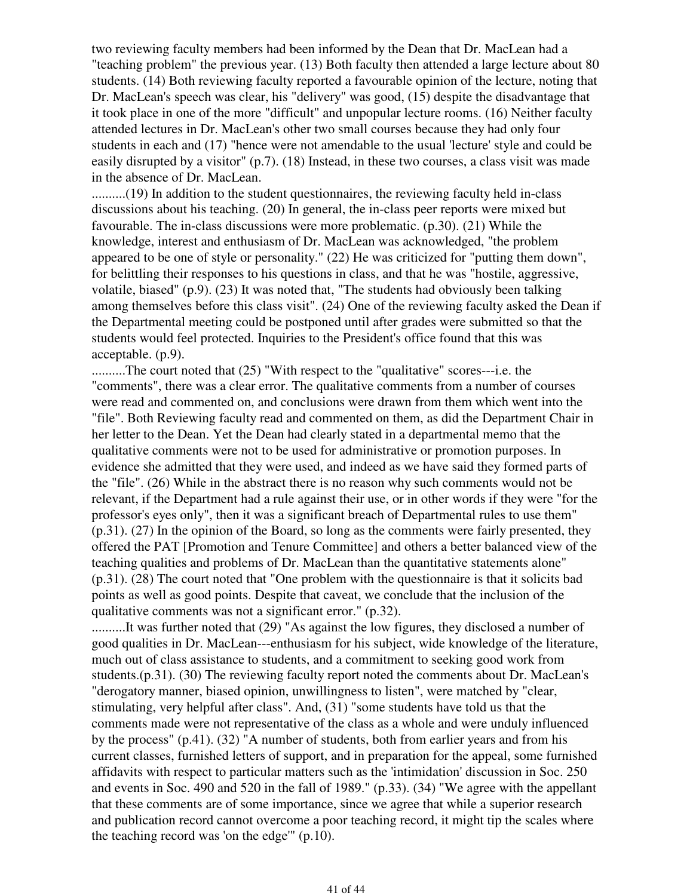two reviewing faculty members had been informed by the Dean that Dr. MacLean had a "teaching problem" the previous year. (13) Both faculty then attended a large lecture about 80 students. (14) Both reviewing faculty reported a favourable opinion of the lecture, noting that Dr. MacLean's speech was clear, his "delivery" was good, (15) despite the disadvantage that it took place in one of the more "difficult" and unpopular lecture rooms. (16) Neither faculty attended lectures in Dr. MacLean's other two small courses because they had only four students in each and (17) "hence were not amendable to the usual 'lecture' style and could be easily disrupted by a visitor" (p.7). (18) Instead, in these two courses, a class visit was made in the absence of Dr. MacLean.

..........(19) In addition to the student questionnaires, the reviewing faculty held in-class discussions about his teaching. (20) In general, the in-class peer reports were mixed but favourable. The in-class discussions were more problematic. (p.30). (21) While the knowledge, interest and enthusiasm of Dr. MacLean was acknowledged, "the problem appeared to be one of style or personality." (22) He was criticized for "putting them down", for belittling their responses to his questions in class, and that he was "hostile, aggressive, volatile, biased" (p.9). (23) It was noted that, "The students had obviously been talking among themselves before this class visit". (24) One of the reviewing faculty asked the Dean if the Departmental meeting could be postponed until after grades were submitted so that the students would feel protected. Inquiries to the President's office found that this was acceptable. (p.9).

..........The court noted that (25) "With respect to the "qualitative" scores---i.e. the "comments", there was a clear error. The qualitative comments from a number of courses were read and commented on, and conclusions were drawn from them which went into the "file". Both Reviewing faculty read and commented on them, as did the Department Chair in her letter to the Dean. Yet the Dean had clearly stated in a departmental memo that the qualitative comments were not to be used for administrative or promotion purposes. In evidence she admitted that they were used, and indeed as we have said they formed parts of the "file". (26) While in the abstract there is no reason why such comments would not be relevant, if the Department had a rule against their use, or in other words if they were "for the professor's eyes only", then it was a significant breach of Departmental rules to use them" (p.31). (27) In the opinion of the Board, so long as the comments were fairly presented, they offered the PAT [Promotion and Tenure Committee] and others a better balanced view of the teaching qualities and problems of Dr. MacLean than the quantitative statements alone" (p.31). (28) The court noted that "One problem with the questionnaire is that it solicits bad points as well as good points. Despite that caveat, we conclude that the inclusion of the qualitative comments was not a significant error." (p.32).

..........It was further noted that (29) "As against the low figures, they disclosed a number of good qualities in Dr. MacLean---enthusiasm for his subject, wide knowledge of the literature, much out of class assistance to students, and a commitment to seeking good work from students.(p.31). (30) The reviewing faculty report noted the comments about Dr. MacLean's "derogatory manner, biased opinion, unwillingness to listen", were matched by "clear, stimulating, very helpful after class". And, (31) "some students have told us that the comments made were not representative of the class as a whole and were unduly influenced by the process" (p.41). (32) "A number of students, both from earlier years and from his current classes, furnished letters of support, and in preparation for the appeal, some furnished affidavits with respect to particular matters such as the 'intimidation' discussion in Soc. 250 and events in Soc. 490 and 520 in the fall of 1989." (p.33). (34) "We agree with the appellant that these comments are of some importance, since we agree that while a superior research and publication record cannot overcome a poor teaching record, it might tip the scales where the teaching record was 'on the edge'" (p.10).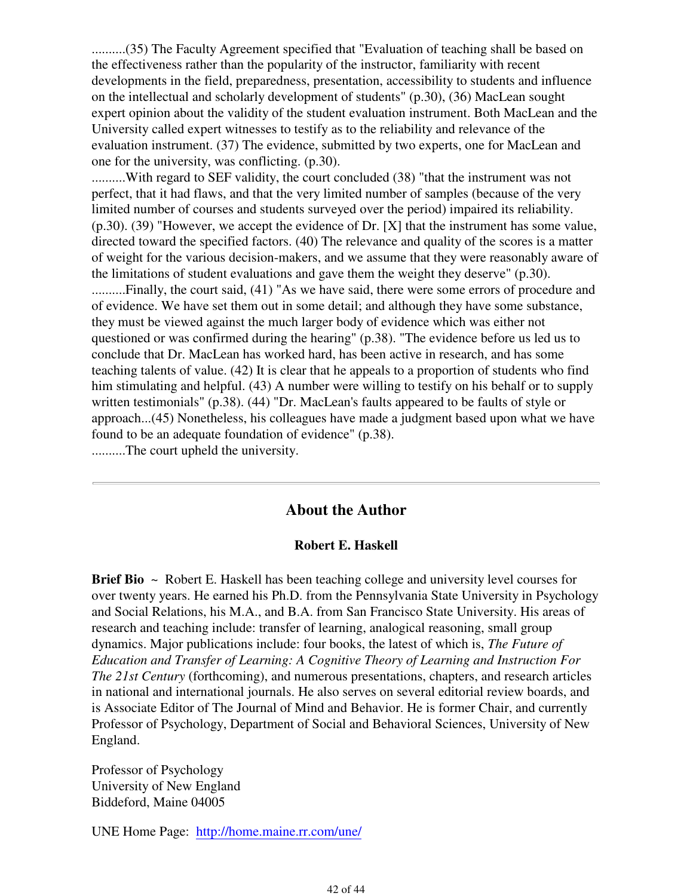..........(35) The Faculty Agreement specified that "Evaluation of teaching shall be based on the effectiveness rather than the popularity of the instructor, familiarity with recent developments in the field, preparedness, presentation, accessibility to students and influence on the intellectual and scholarly development of students" (p.30), (36) MacLean sought expert opinion about the validity of the student evaluation instrument. Both MacLean and the University called expert witnesses to testify as to the reliability and relevance of the evaluation instrument. (37) The evidence, submitted by two experts, one for MacLean and one for the university, was conflicting. (p.30).

..........With regard to SEF validity, the court concluded (38) "that the instrument was not perfect, that it had flaws, and that the very limited number of samples (because of the very limited number of courses and students surveyed over the period) impaired its reliability. (p.30). (39) "However, we accept the evidence of Dr. [X] that the instrument has some value, directed toward the specified factors. (40) The relevance and quality of the scores is a matter of weight for the various decision-makers, and we assume that they were reasonably aware of the limitations of student evaluations and gave them the weight they deserve" (p.30). ..........Finally, the court said, (41) "As we have said, there were some errors of procedure and of evidence. We have set them out in some detail; and although they have some substance, they must be viewed against the much larger body of evidence which was either not questioned or was confirmed during the hearing" (p.38). "The evidence before us led us to conclude that Dr. MacLean has worked hard, has been active in research, and has some teaching talents of value. (42) It is clear that he appeals to a proportion of students who find him stimulating and helpful. (43) A number were willing to testify on his behalf or to supply written testimonials" (p.38). (44) "Dr. MacLean's faults appeared to be faults of style or approach...(45) Nonetheless, his colleagues have made a judgment based upon what we have found to be an adequate foundation of evidence" (p.38). ..........The court upheld the university.

#### **About the Author**

#### **Robert E. Haskell**

**Brief Bio** ~ Robert E. Haskell has been teaching college and university level courses for over twenty years. He earned his Ph.D. from the Pennsylvania State University in Psychology and Social Relations, his M.A., and B.A. from San Francisco State University. His areas of research and teaching include: transfer of learning, analogical reasoning, small group dynamics. Major publications include: four books, the latest of which is, *The Future of Education and Transfer of Learning: A Cognitive Theory of Learning and Instruction For The 21st Century* (forthcoming), and numerous presentations, chapters, and research articles in national and international journals. He also serves on several editorial review boards, and is Associate Editor of The Journal of Mind and Behavior. He is former Chair, and currently Professor of Psychology, Department of Social and Behavioral Sciences, University of New England.

Professor of Psychology University of New England Biddeford, Maine 04005

UNE Home Page: http://home.maine.rr.com/une/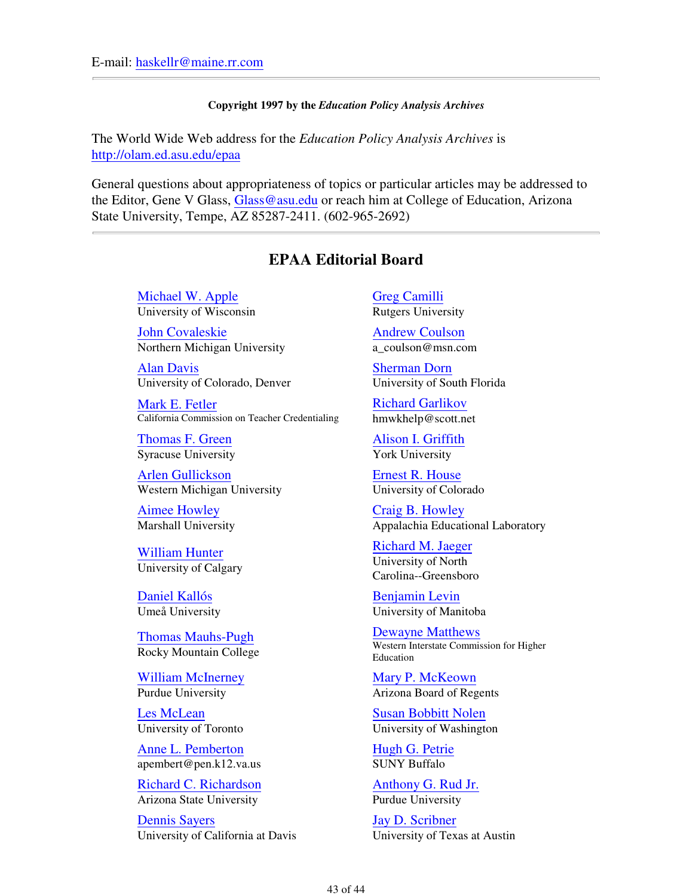#### **Copyright 1997 by the** *Education Policy Analysis Archives*

The World Wide Web address for the *Education Policy Analysis Archives* is http://olam.ed.asu.edu/epaa

General questions about appropriateness of topics or particular articles may be addressed to the Editor, Gene V Glass, Glass @asu.edu or reach him at College of Education, Arizona State University, Tempe, AZ 85287-2411. (602-965-2692)

## **EPAA Editorial Board**

Michael W. Apple University of Wisconsin

John Covaleskie Northern Michigan University

Alan Davis University of Colorado, Denver

Mark E. Fetler California Commission on Teacher Credentialing

Thomas F. Green Syracuse University

Arlen Gullickson Western Michigan University

Aimee Howley Marshall University

William Hunter University of Calgary

Daniel Kallós Umeå University

Thomas Mauhs-Pugh Rocky Mountain College

William McInerney Purdue University

Les McLean University of Toronto

Anne L. Pemberton apembert@pen.k12.va.us

Richard C. Richardson Arizona State University

Dennis Sayers University of California at Davis Greg Camilli Rutgers University

Andrew Coulson a\_coulson@msn.com

Sherman Dorn University of South Florida

Richard Garlikov hmwkhelp@scott.net

Alison I. Griffith York University

Ernest R. House University of Colorado

Craig B. Howley Appalachia Educational Laboratory

Richard M. Jaeger University of North Carolina--Greensboro

Benjamin Levin University of Manitoba

Dewayne Matthews Western Interstate Commission for Higher Education

Mary P. McKeown Arizona Board of Regents

Susan Bobbitt Nolen University of Washington

Hugh G. Petrie SUNY Buffalo

Anthony G. Rud Jr. Purdue University

Jay D. Scribner University of Texas at Austin